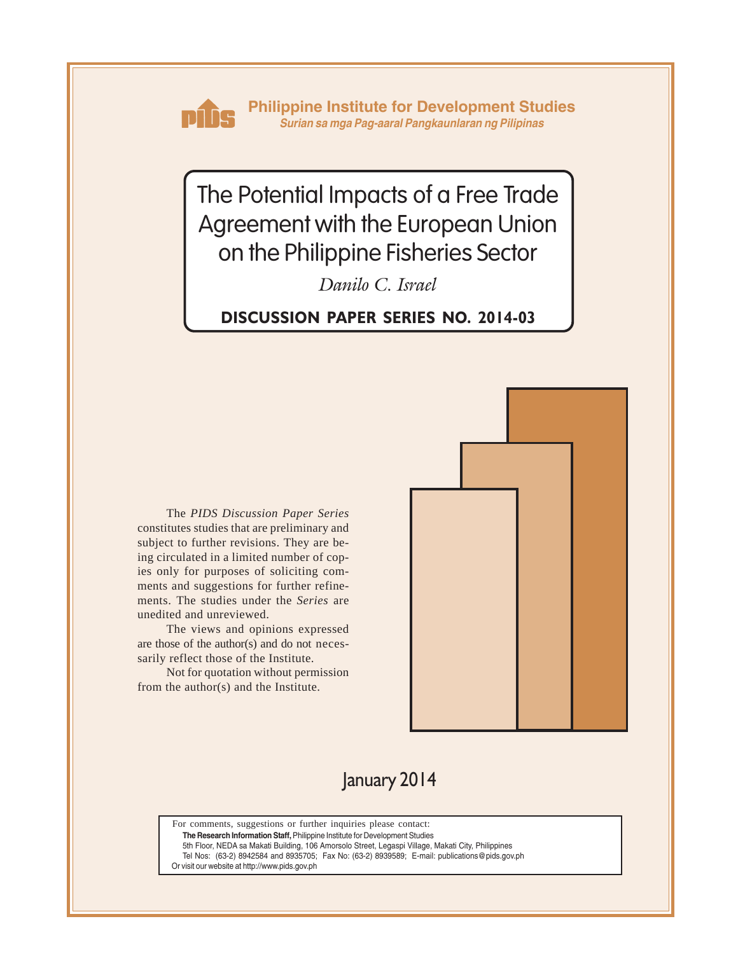

**Philippine Institute for Development Studies** *Surian sa mga Pag-aaral Pangkaunlaran ng Pilipinas*

The Potential Impacts of a Free Trade Agreement with the European Union on the Philippine Fisheries Sector

*Danilo C. Israel*

**DISCUSSION PAPER SERIES NO. 2014-03**

The *PIDS Discussion Paper Series* constitutes studies that are preliminary and subject to further revisions. They are being circulated in a limited number of copies only for purposes of soliciting comments and suggestions for further refinements. The studies under the *Series* are unedited and unreviewed.

The views and opinions expressed are those of the author(s) and do not necessarily reflect those of the Institute.

Not for quotation without permission from the author(s) and the Institute.



January 2014

For comments, suggestions or further inquiries please contact:

**The Research Information Staff,** Philippine Institute for Development Studies

5th Floor, NEDA sa Makati Building, 106 Amorsolo Street, Legaspi Village, Makati City, Philippines

Tel Nos: (63-2) 8942584 and 8935705; Fax No: (63-2) 8939589; E-mail: publications@pids.gov.ph

Or visit our website at http://www.pids.gov.ph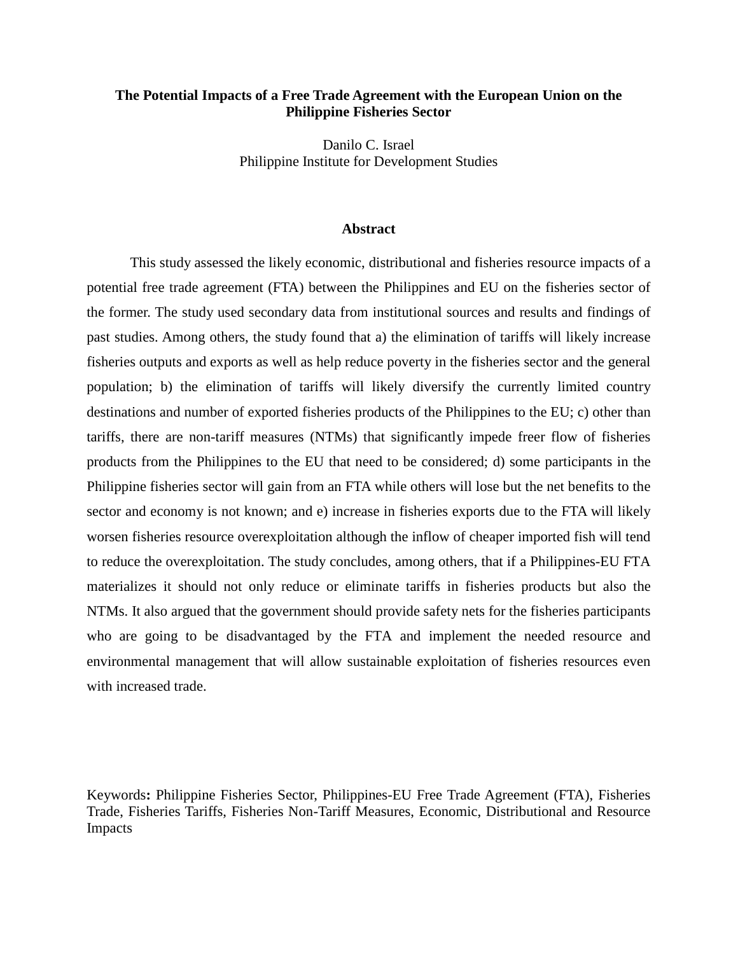# **The Potential Impacts of a Free Trade Agreement with the European Union on the Philippine Fisheries Sector**

Danilo C. Israel Philippine Institute for Development Studies

#### **Abstract**

This study assessed the likely economic, distributional and fisheries resource impacts of a potential free trade agreement (FTA) between the Philippines and EU on the fisheries sector of the former. The study used secondary data from institutional sources and results and findings of past studies. Among others, the study found that a) the elimination of tariffs will likely increase fisheries outputs and exports as well as help reduce poverty in the fisheries sector and the general population; b) the elimination of tariffs will likely diversify the currently limited country destinations and number of exported fisheries products of the Philippines to the EU; c) other than tariffs, there are non-tariff measures (NTMs) that significantly impede freer flow of fisheries products from the Philippines to the EU that need to be considered; d) some participants in the Philippine fisheries sector will gain from an FTA while others will lose but the net benefits to the sector and economy is not known; and e) increase in fisheries exports due to the FTA will likely worsen fisheries resource overexploitation although the inflow of cheaper imported fish will tend to reduce the overexploitation. The study concludes, among others, that if a Philippines-EU FTA materializes it should not only reduce or eliminate tariffs in fisheries products but also the NTMs. It also argued that the government should provide safety nets for the fisheries participants who are going to be disadvantaged by the FTA and implement the needed resource and environmental management that will allow sustainable exploitation of fisheries resources even with increased trade.

Keywords**:** Philippine Fisheries Sector, Philippines-EU Free Trade Agreement (FTA), Fisheries Trade, Fisheries Tariffs, Fisheries Non-Tariff Measures, Economic, Distributional and Resource Impacts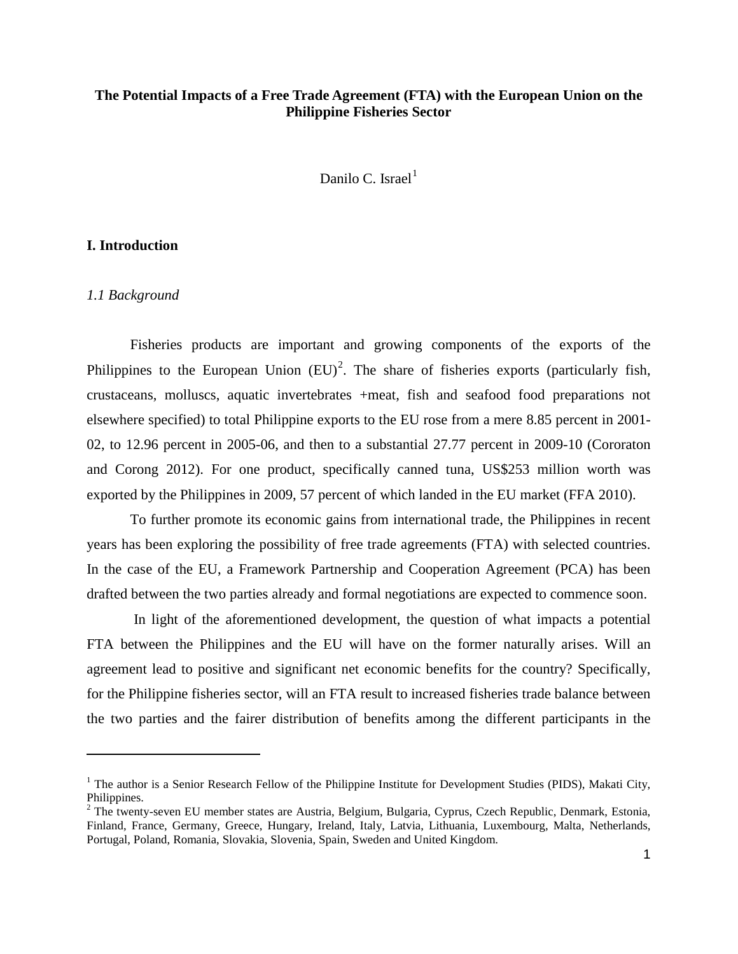# **The Potential Impacts of a Free Trade Agreement (FTA) with the European Union on the Philippine Fisheries Sector**

Danilo C. Israel $<sup>1</sup>$  $<sup>1</sup>$  $<sup>1</sup>$ </sup>

## **I. Introduction**

#### *1.1 Background*

 $\overline{a}$ 

Fisheries products are important and growing components of the exports of the Philippines to the European Union  $(EU)^2$  $(EU)^2$ . The share of fisheries exports (particularly fish, crustaceans, molluscs, aquatic invertebrates +meat, fish and seafood food preparations not elsewhere specified) to total Philippine exports to the EU rose from a mere 8.85 percent in 2001- 02, to 12.96 percent in 2005-06, and then to a substantial 27.77 percent in 2009-10 (Cororaton and Corong 2012). For one product, specifically canned tuna, US\$253 million worth was exported by the Philippines in 2009, 57 percent of which landed in the EU market (FFA 2010).

To further promote its economic gains from international trade, the Philippines in recent years has been exploring the possibility of free trade agreements (FTA) with selected countries. In the case of the EU, a Framework Partnership and Cooperation Agreement (PCA) has been drafted between the two parties already and formal negotiations are expected to commence soon.

In light of the aforementioned development, the question of what impacts a potential FTA between the Philippines and the EU will have on the former naturally arises. Will an agreement lead to positive and significant net economic benefits for the country? Specifically, for the Philippine fisheries sector, will an FTA result to increased fisheries trade balance between the two parties and the fairer distribution of benefits among the different participants in the

<span id="page-2-0"></span> $1$  The author is a Senior Research Fellow of the Philippine Institute for Development Studies (PIDS), Makati City, Philippines.

<span id="page-2-1"></span><sup>&</sup>lt;sup>2</sup> The twenty-seven EU member states are Austria, Belgium, Bulgaria, Cyprus, Czech Republic, Denmark, Estonia, Finland, France, Germany, Greece, Hungary, Ireland, Italy, Latvia, Lithuania, Luxembourg, Malta, Netherlands, Portugal, Poland, Romania, Slovakia, Slovenia, Spain, Sweden and United Kingdom.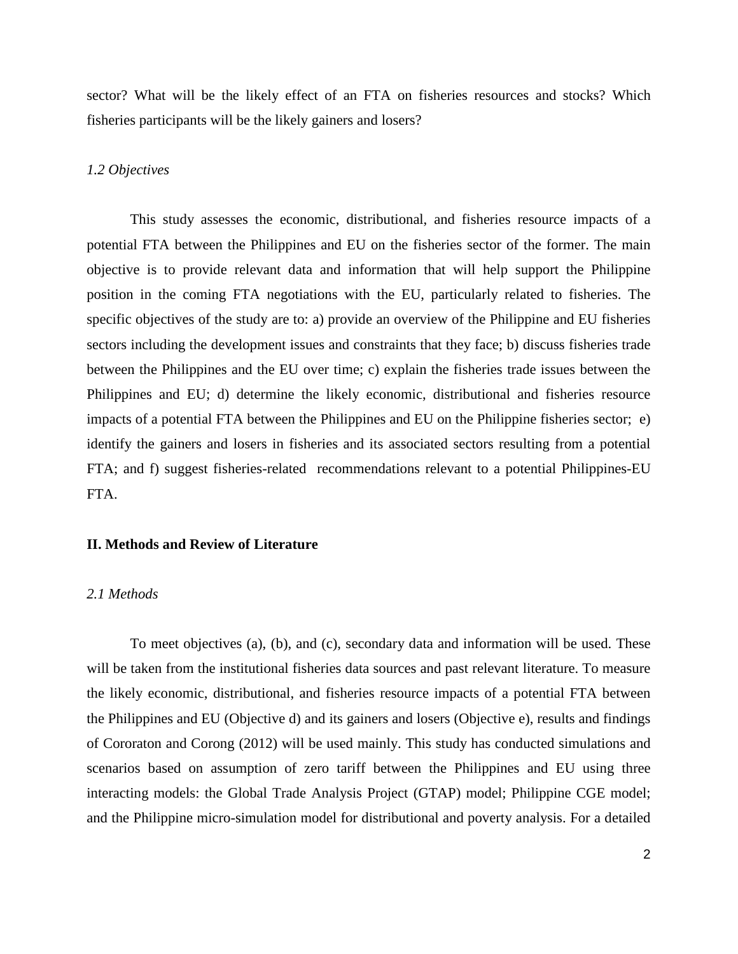sector? What will be the likely effect of an FTA on fisheries resources and stocks? Which fisheries participants will be the likely gainers and losers?

### *1.2 Objectives*

This study assesses the economic, distributional, and fisheries resource impacts of a potential FTA between the Philippines and EU on the fisheries sector of the former. The main objective is to provide relevant data and information that will help support the Philippine position in the coming FTA negotiations with the EU, particularly related to fisheries. The specific objectives of the study are to: a) provide an overview of the Philippine and EU fisheries sectors including the development issues and constraints that they face; b) discuss fisheries trade between the Philippines and the EU over time; c) explain the fisheries trade issues between the Philippines and EU; d) determine the likely economic, distributional and fisheries resource impacts of a potential FTA between the Philippines and EU on the Philippine fisheries sector; e) identify the gainers and losers in fisheries and its associated sectors resulting from a potential FTA; and f) suggest fisheries-related recommendations relevant to a potential Philippines-EU FTA.

#### **II. Methods and Review of Literature**

#### *2.1 Methods*

To meet objectives (a), (b), and (c), secondary data and information will be used. These will be taken from the institutional fisheries data sources and past relevant literature. To measure the likely economic, distributional, and fisheries resource impacts of a potential FTA between the Philippines and EU (Objective d) and its gainers and losers (Objective e), results and findings of Cororaton and Corong (2012) will be used mainly. This study has conducted simulations and scenarios based on assumption of zero tariff between the Philippines and EU using three interacting models: the Global Trade Analysis Project (GTAP) model; Philippine CGE model; and the Philippine micro-simulation model for distributional and poverty analysis. For a detailed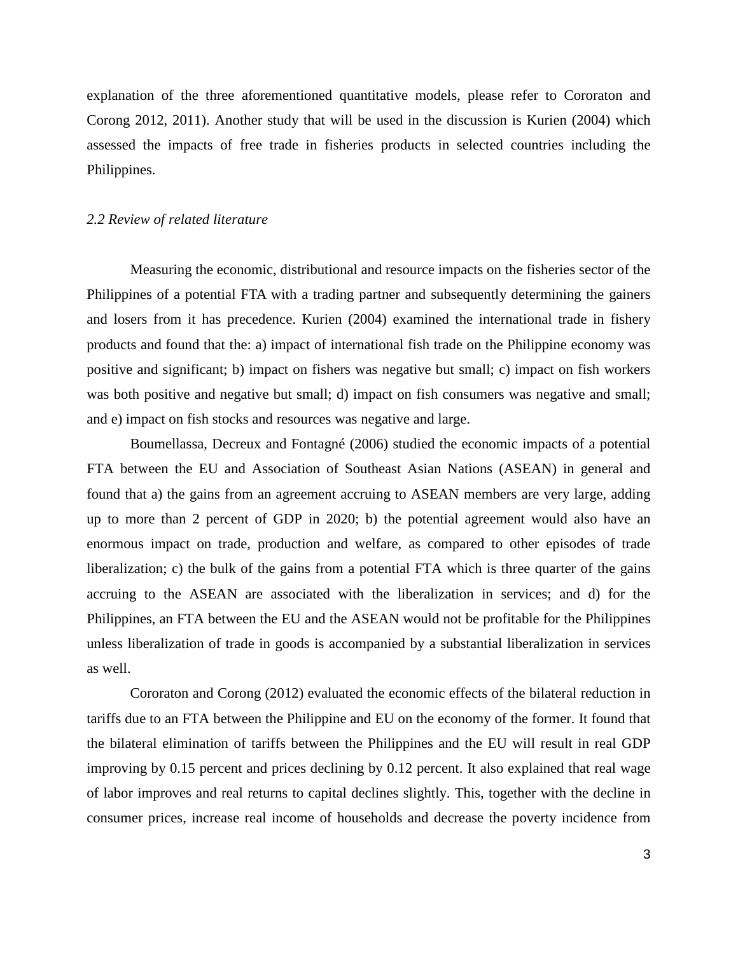explanation of the three aforementioned quantitative models, please refer to Cororaton and Corong 2012, 2011). Another study that will be used in the discussion is Kurien (2004) which assessed the impacts of free trade in fisheries products in selected countries including the Philippines.

### *2.2 Review of related literature*

Measuring the economic, distributional and resource impacts on the fisheries sector of the Philippines of a potential FTA with a trading partner and subsequently determining the gainers and losers from it has precedence. Kurien (2004) examined the international trade in fishery products and found that the: a) impact of international fish trade on the Philippine economy was positive and significant; b) impact on fishers was negative but small; c) impact on fish workers was both positive and negative but small; d) impact on fish consumers was negative and small; and e) impact on fish stocks and resources was negative and large.

Boumellassa, Decreux and Fontagné (2006) studied the economic impacts of a potential FTA between the EU and Association of Southeast Asian Nations (ASEAN) in general and found that a) the gains from an agreement accruing to ASEAN members are very large, adding up to more than 2 percent of GDP in 2020; b) the potential agreement would also have an enormous impact on trade, production and welfare, as compared to other episodes of trade liberalization; c) the bulk of the gains from a potential FTA which is three quarter of the gains accruing to the ASEAN are associated with the liberalization in services; and d) for the Philippines, an FTA between the EU and the ASEAN would not be profitable for the Philippines unless liberalization of trade in goods is accompanied by a substantial liberalization in services as well.

Cororaton and Corong (2012) evaluated the economic effects of the bilateral reduction in tariffs due to an FTA between the Philippine and EU on the economy of the former. It found that the bilateral elimination of tariffs between the Philippines and the EU will result in real GDP improving by 0.15 percent and prices declining by 0.12 percent. It also explained that real wage of labor improves and real returns to capital declines slightly. This, together with the decline in consumer prices, increase real income of households and decrease the poverty incidence from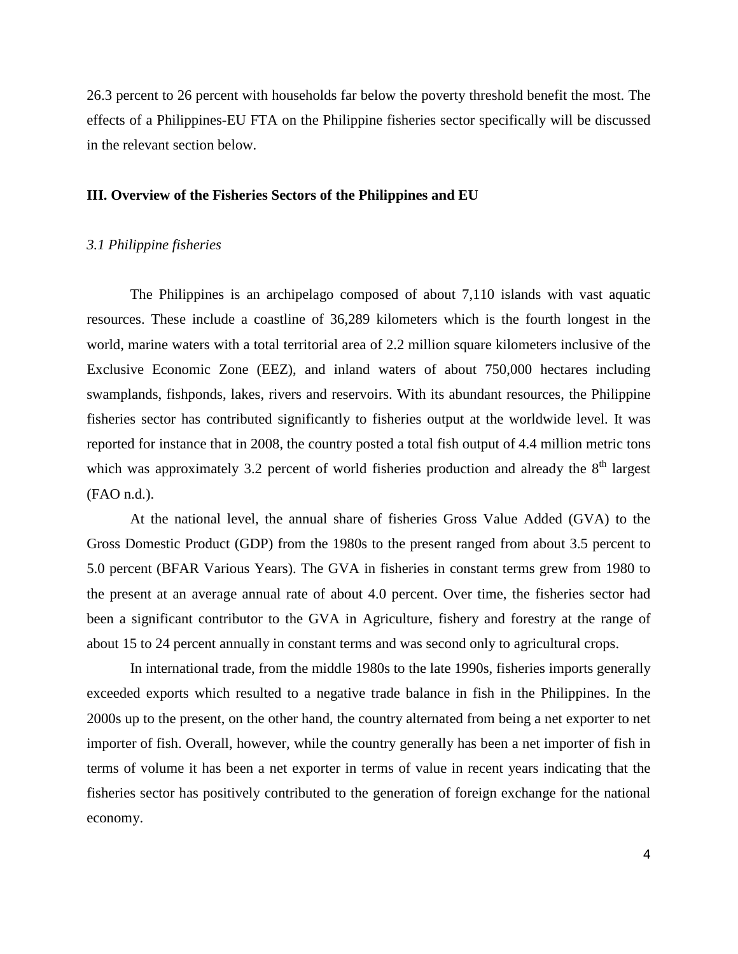26.3 percent to 26 percent with households far below the poverty threshold benefit the most. The effects of a Philippines-EU FTA on the Philippine fisheries sector specifically will be discussed in the relevant section below.

### **III. Overview of the Fisheries Sectors of the Philippines and EU**

## *3.1 Philippine fisheries*

The Philippines is an archipelago composed of about 7,110 islands with vast aquatic resources. These include a coastline of 36,289 kilometers which is the fourth longest in the world, marine waters with a total territorial area of 2.2 million square kilometers inclusive of the Exclusive Economic Zone (EEZ), and inland waters of about 750,000 hectares including swamplands, fishponds, lakes, rivers and reservoirs. With its abundant resources, the Philippine fisheries sector has contributed significantly to fisheries output at the worldwide level. It was reported for instance that in 2008, the country posted a total fish output of 4.4 million metric tons which was approximately 3.2 percent of world fisheries production and already the  $8<sup>th</sup>$  largest (FAO n.d.).

At the national level, the annual share of fisheries Gross Value Added (GVA) to the Gross Domestic Product (GDP) from the 1980s to the present ranged from about 3.5 percent to 5.0 percent (BFAR Various Years). The GVA in fisheries in constant terms grew from 1980 to the present at an average annual rate of about 4.0 percent. Over time, the fisheries sector had been a significant contributor to the GVA in Agriculture, fishery and forestry at the range of about 15 to 24 percent annually in constant terms and was second only to agricultural crops.

In international trade, from the middle 1980s to the late 1990s, fisheries imports generally exceeded exports which resulted to a negative trade balance in fish in the Philippines. In the 2000s up to the present, on the other hand, the country alternated from being a net exporter to net importer of fish. Overall, however, while the country generally has been a net importer of fish in terms of volume it has been a net exporter in terms of value in recent years indicating that the fisheries sector has positively contributed to the generation of foreign exchange for the national economy.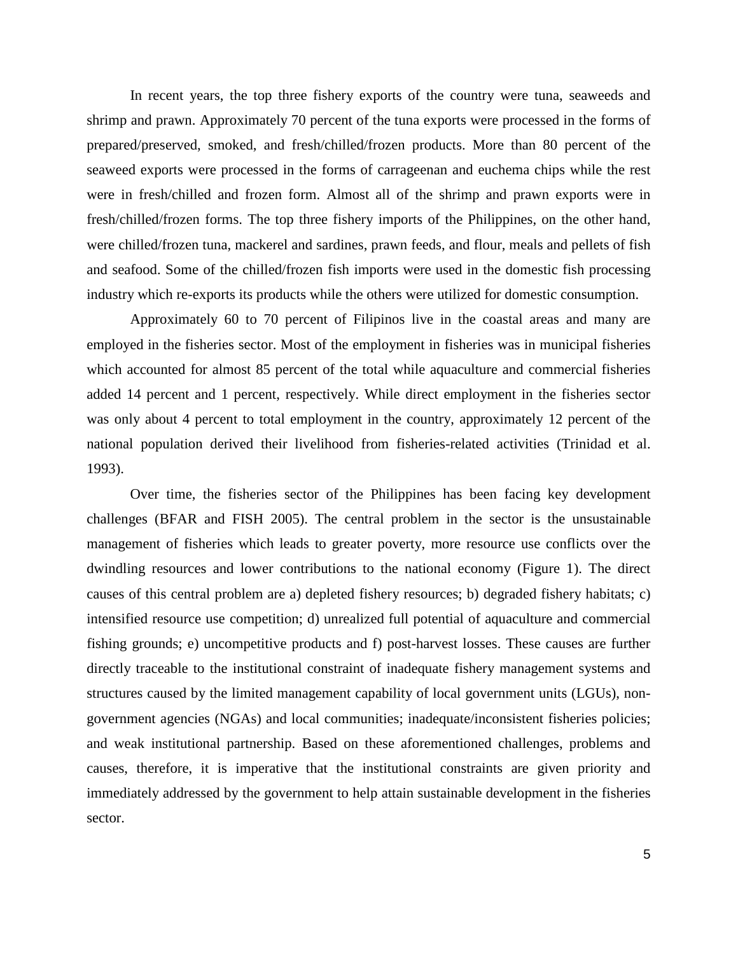In recent years, the top three fishery exports of the country were tuna, seaweeds and shrimp and prawn. Approximately 70 percent of the tuna exports were processed in the forms of prepared/preserved, smoked, and fresh/chilled/frozen products. More than 80 percent of the seaweed exports were processed in the forms of carrageenan and euchema chips while the rest were in fresh/chilled and frozen form. Almost all of the shrimp and prawn exports were in fresh/chilled/frozen forms. The top three fishery imports of the Philippines, on the other hand, were chilled/frozen tuna, mackerel and sardines, prawn feeds, and flour, meals and pellets of fish and seafood. Some of the chilled/frozen fish imports were used in the domestic fish processing industry which re-exports its products while the others were utilized for domestic consumption.

Approximately 60 to 70 percent of Filipinos live in the coastal areas and many are employed in the fisheries sector. Most of the employment in fisheries was in municipal fisheries which accounted for almost 85 percent of the total while aquaculture and commercial fisheries added 14 percent and 1 percent, respectively. While direct employment in the fisheries sector was only about 4 percent to total employment in the country, approximately 12 percent of the national population derived their livelihood from fisheries-related activities (Trinidad et al. 1993).

Over time, the fisheries sector of the Philippines has been facing key development challenges (BFAR and FISH 2005). The central problem in the sector is the unsustainable management of fisheries which leads to greater poverty, more resource use conflicts over the dwindling resources and lower contributions to the national economy (Figure 1). The direct causes of this central problem are a) depleted fishery resources; b) degraded fishery habitats; c) intensified resource use competition; d) unrealized full potential of aquaculture and commercial fishing grounds; e) uncompetitive products and f) post-harvest losses. These causes are further directly traceable to the institutional constraint of inadequate fishery management systems and structures caused by the limited management capability of local government units (LGUs), nongovernment agencies (NGAs) and local communities; inadequate/inconsistent fisheries policies; and weak institutional partnership. Based on these aforementioned challenges, problems and causes, therefore, it is imperative that the institutional constraints are given priority and immediately addressed by the government to help attain sustainable development in the fisheries sector.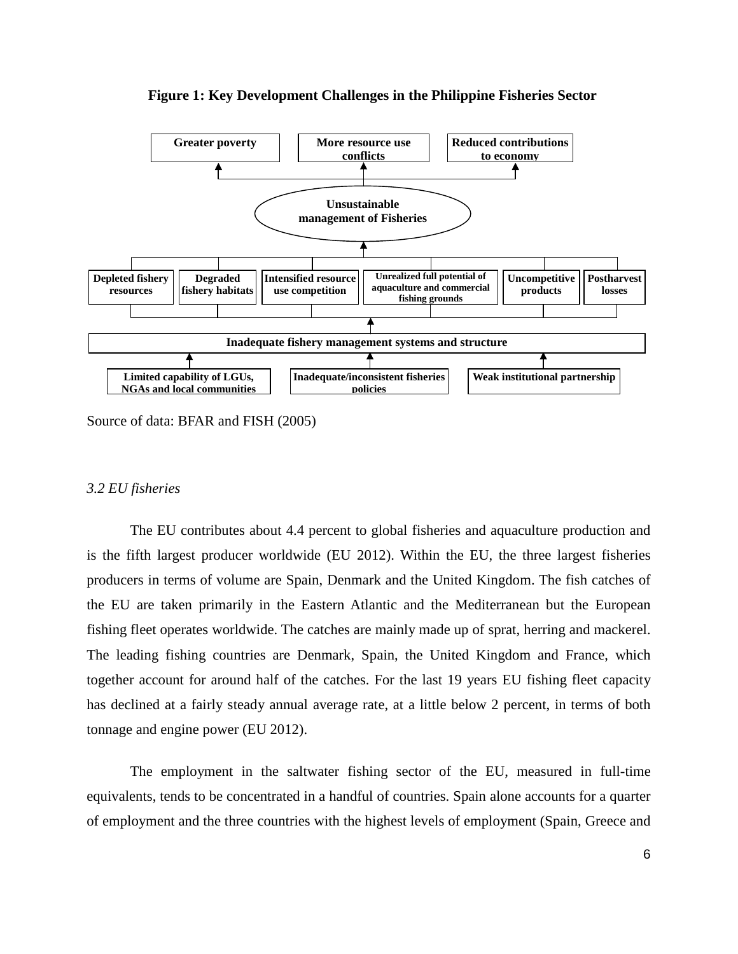

**Figure 1: Key Development Challenges in the Philippine Fisheries Sector**

Source of data: BFAR and FISH (2005)

#### *3.2 EU fisheries*

The EU contributes about 4.4 percent to global fisheries and aquaculture production and is the fifth largest producer worldwide (EU 2012). Within the EU, the three largest fisheries producers in terms of volume are Spain, Denmark and the United Kingdom. The fish catches of the EU are taken primarily in the Eastern Atlantic and the Mediterranean but the European fishing fleet operates worldwide. The catches are mainly made up of sprat, herring and mackerel. The leading fishing countries are Denmark, Spain, the United Kingdom and France, which together account for around half of the catches. For the last 19 years EU fishing fleet capacity has declined at a fairly steady annual average rate, at a little below 2 percent, in terms of both tonnage and engine power (EU 2012).

The employment in the saltwater fishing sector of the EU, measured in full-time equivalents, tends to be concentrated in a handful of countries. Spain alone accounts for a quarter of employment and the three countries with the highest levels of employment (Spain, Greece and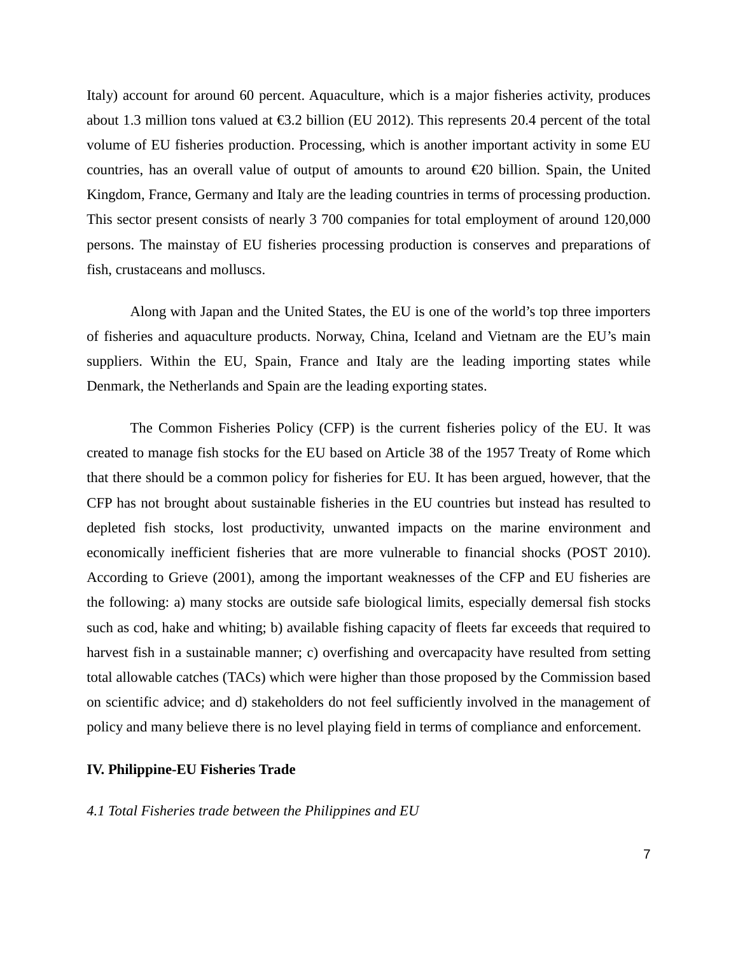Italy) account for around 60 percent. Aquaculture, which is a major fisheries activity, produces about 1.3 million tons valued at €3.2 billion (EU 2012). This represents 20.4 percent of the total volume of EU fisheries production. Processing, which is another important activity in some EU countries, has an overall value of output of amounts to around  $\epsilon$ 20 billion. Spain, the United Kingdom, France, Germany and Italy are the leading countries in terms of processing production. This sector present consists of nearly 3 700 companies for total employment of around 120,000 persons. The mainstay of EU fisheries processing production is conserves and preparations of fish, crustaceans and molluscs.

Along with Japan and the United States, the EU is one of the world's top three importers of fisheries and aquaculture products. Norway, China, Iceland and Vietnam are the EU's main suppliers. Within the EU, Spain, France and Italy are the leading importing states while Denmark, the Netherlands and Spain are the leading exporting states.

The Common Fisheries Policy (CFP) is the current fisheries policy of the EU. It was created to manage fish stocks for the EU based on Article 38 of the 1957 [Treaty of Rome](http://en.wikipedia.org/wiki/Treaty_of_Rome) which that there should be a common policy for fisheries for EU. It has been argued, however, that the CFP has not brought about sustainable fisheries in the EU countries but instead has resulted to depleted fish stocks, lost productivity, unwanted impacts on the marine environment and economically inefficient fisheries that are more vulnerable to financial shocks (POST 2010). According to Grieve (2001), among the important weaknesses of the CFP and EU fisheries are the following: a) many stocks are outside safe biological limits, especially demersal fish stocks such as cod, hake and whiting; b) available fishing capacity of fleets far exceeds that required to harvest fish in a sustainable manner; c) overfishing and overcapacity have resulted from setting total allowable catches (TACs) which were higher than those proposed by the Commission based on scientific advice; and d) stakeholders do not feel sufficiently involved in the management of policy and many believe there is no level playing field in terms of compliance and enforcement.

### **IV. Philippine-EU Fisheries Trade**

#### *4.1 Total Fisheries trade between the Philippines and EU*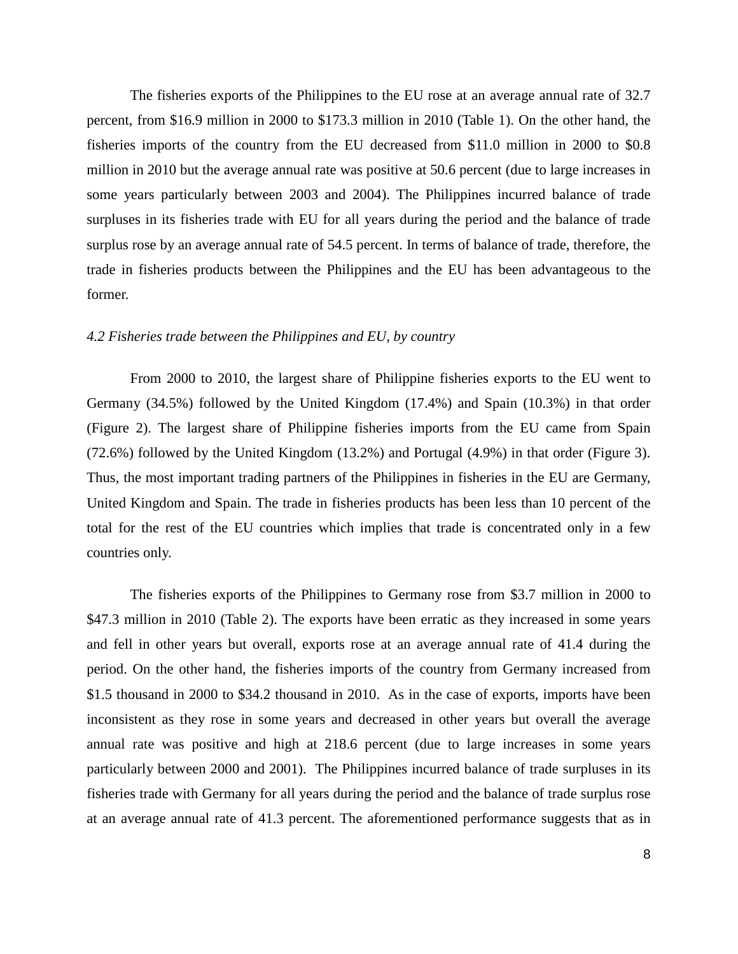The fisheries exports of the Philippines to the EU rose at an average annual rate of 32.7 percent, from \$16.9 million in 2000 to \$173.3 million in 2010 (Table 1). On the other hand, the fisheries imports of the country from the EU decreased from \$11.0 million in 2000 to \$0.8 million in 2010 but the average annual rate was positive at 50.6 percent (due to large increases in some years particularly between 2003 and 2004). The Philippines incurred balance of trade surpluses in its fisheries trade with EU for all years during the period and the balance of trade surplus rose by an average annual rate of 54.5 percent. In terms of balance of trade, therefore, the trade in fisheries products between the Philippines and the EU has been advantageous to the former.

### *4.2 Fisheries trade between the Philippines and EU, by country*

From 2000 to 2010, the largest share of Philippine fisheries exports to the EU went to Germany (34.5%) followed by the United Kingdom (17.4%) and Spain (10.3%) in that order (Figure 2). The largest share of Philippine fisheries imports from the EU came from Spain (72.6%) followed by the United Kingdom (13.2%) and Portugal (4.9%) in that order (Figure 3). Thus, the most important trading partners of the Philippines in fisheries in the EU are Germany, United Kingdom and Spain. The trade in fisheries products has been less than 10 percent of the total for the rest of the EU countries which implies that trade is concentrated only in a few countries only.

The fisheries exports of the Philippines to Germany rose from \$3.7 million in 2000 to \$47.3 million in 2010 (Table 2). The exports have been erratic as they increased in some years and fell in other years but overall, exports rose at an average annual rate of 41.4 during the period. On the other hand, the fisheries imports of the country from Germany increased from \$1.5 thousand in 2000 to \$34.2 thousand in 2010. As in the case of exports, imports have been inconsistent as they rose in some years and decreased in other years but overall the average annual rate was positive and high at 218.6 percent (due to large increases in some years particularly between 2000 and 2001). The Philippines incurred balance of trade surpluses in its fisheries trade with Germany for all years during the period and the balance of trade surplus rose at an average annual rate of 41.3 percent. The aforementioned performance suggests that as in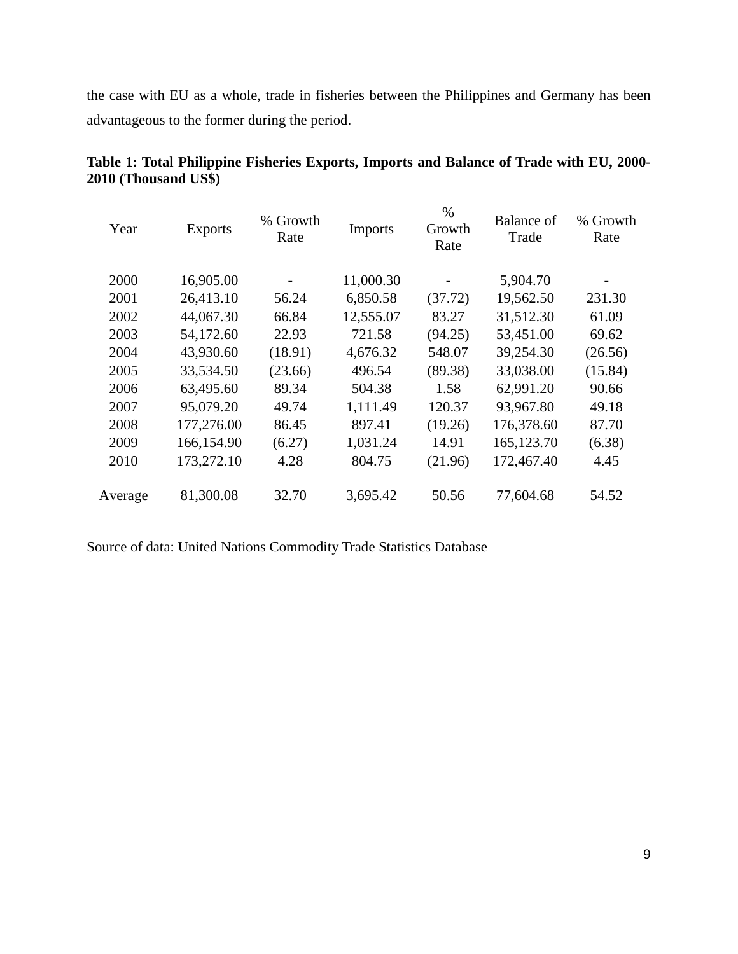the case with EU as a whole, trade in fisheries between the Philippines and Germany has been advantageous to the former during the period.

| Year         | <b>Exports</b>           | % Growth<br>Rate | <b>Imports</b>        | $\%$<br>Growth<br>Rate | Balance of<br>Trade        | % Growth<br>Rate |
|--------------|--------------------------|------------------|-----------------------|------------------------|----------------------------|------------------|
| 2000         | 16,905.00                |                  | 11,000.30             |                        | 5,904.70                   |                  |
| 2001<br>2002 | 26,413.10<br>44,067.30   | 56.24<br>66.84   | 6,850.58<br>12,555.07 | (37.72)<br>83.27       | 19,562.50<br>31,512.30     | 231.30<br>61.09  |
| 2003<br>2004 | 54,172.60<br>43,930.60   | 22.93<br>(18.91) | 721.58<br>4,676.32    | (94.25)<br>548.07      | 53,451.00<br>39,254.30     | 69.62<br>(26.56) |
| 2005<br>2006 | 33,534.50<br>63,495.60   | (23.66)<br>89.34 | 496.54<br>504.38      | (89.38)<br>1.58        | 33,038.00<br>62,991.20     | (15.84)<br>90.66 |
| 2007         | 95,079.20                | 49.74            | 1,111.49              | 120.37                 | 93,967.80                  | 49.18            |
| 2008<br>2009 | 177,276.00<br>166,154.90 | 86.45<br>(6.27)  | 897.41<br>1,031.24    | (19.26)<br>14.91       | 176,378.60<br>165, 123. 70 | 87.70<br>(6.38)  |
| 2010         | 173,272.10               | 4.28             | 804.75                | (21.96)                | 172,467.40                 | 4.45             |
| Average      | 81,300.08                | 32.70            | 3,695.42              | 50.56                  | 77,604.68                  | 54.52            |

**Table 1: Total Philippine Fisheries Exports, Imports and Balance of Trade with EU, 2000- 2010 (Thousand US\$)**

Source of data: United Nations Commodity Trade Statistics Database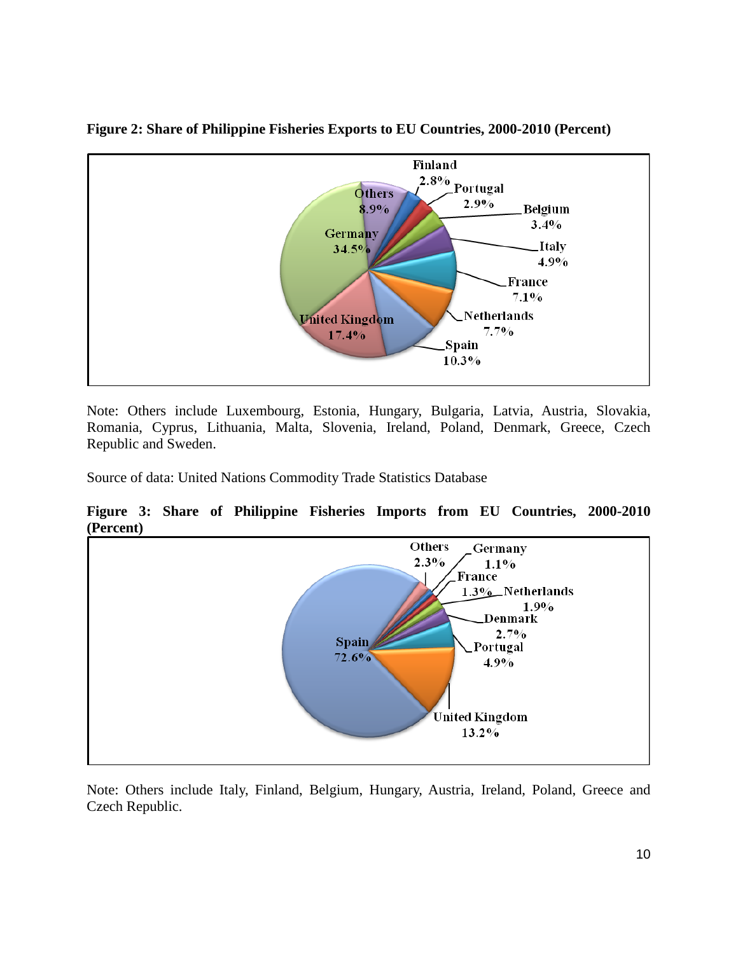

**Figure 2: Share of Philippine Fisheries Exports to EU Countries, 2000-2010 (Percent)**

Note: Others include Luxembourg, Estonia, Hungary, Bulgaria, Latvia, Austria, Slovakia, Romania, Cyprus, Lithuania, Malta, Slovenia, Ireland, Poland, Denmark, Greece, Czech Republic and Sweden.

Source of data: United Nations Commodity Trade Statistics Database

**Figure 3: Share of Philippine Fisheries Imports from EU Countries, 2000-2010 (Percent)**



Note: Others include Italy, Finland, Belgium, Hungary, Austria, Ireland, Poland, Greece and Czech Republic.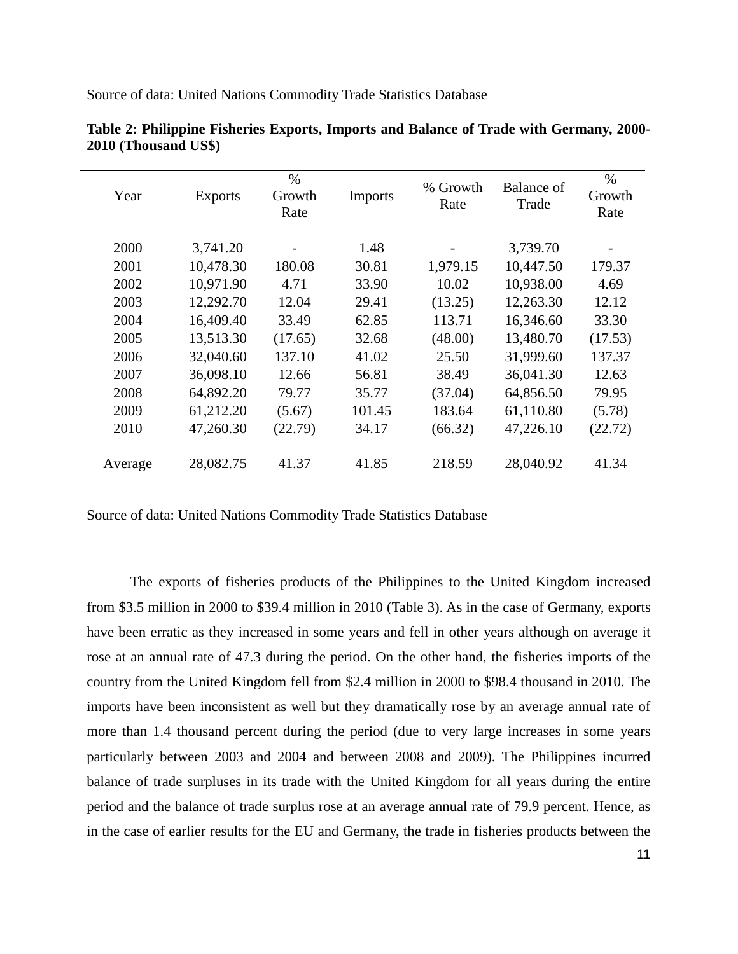| Year    | <b>Exports</b> | $\frac{0}{0}$<br>Growth<br>Rate | <b>Imports</b> | % Growth<br>Rate | Balance of<br>Trade | $\%$<br>Growth<br>Rate |
|---------|----------------|---------------------------------|----------------|------------------|---------------------|------------------------|
|         |                |                                 |                |                  |                     |                        |
| 2000    | 3,741.20       |                                 | 1.48           |                  | 3,739.70            |                        |
| 2001    | 10,478.30      | 180.08                          | 30.81          | 1,979.15         | 10,447.50           | 179.37                 |
| 2002    | 10,971.90      | 4.71                            | 33.90          | 10.02            | 10,938.00           | 4.69                   |
| 2003    | 12,292.70      | 12.04                           | 29.41          | (13.25)          | 12,263.30           | 12.12                  |
| 2004    | 16,409.40      | 33.49                           | 62.85          | 113.71           | 16,346.60           | 33.30                  |
| 2005    | 13,513.30      | (17.65)                         | 32.68          | (48.00)          | 13,480.70           | (17.53)                |
| 2006    | 32,040.60      | 137.10                          | 41.02          | 25.50            | 31,999.60           | 137.37                 |
| 2007    | 36,098.10      | 12.66                           | 56.81          | 38.49            | 36,041.30           | 12.63                  |
| 2008    | 64,892.20      | 79.77                           | 35.77          | (37.04)          | 64,856.50           | 79.95                  |
| 2009    | 61,212.20      | (5.67)                          | 101.45         | 183.64           | 61,110.80           | (5.78)                 |
| 2010    | 47,260.30      | (22.79)                         | 34.17          | (66.32)          | 47,226.10           | (22.72)                |
| Average | 28,082.75      | 41.37                           | 41.85          | 218.59           | 28,040.92           | 41.34                  |

**Table 2: Philippine Fisheries Exports, Imports and Balance of Trade with Germany, 2000-**

Source of data: United Nations Commodity Trade Statistics Database

**2010 (Thousand US\$)**

Source of data: United Nations Commodity Trade Statistics Database

The exports of fisheries products of the Philippines to the United Kingdom increased from \$3.5 million in 2000 to \$39.4 million in 2010 (Table 3). As in the case of Germany, exports have been erratic as they increased in some years and fell in other years although on average it rose at an annual rate of 47.3 during the period. On the other hand, the fisheries imports of the country from the United Kingdom fell from \$2.4 million in 2000 to \$98.4 thousand in 2010. The imports have been inconsistent as well but they dramatically rose by an average annual rate of more than 1.4 thousand percent during the period (due to very large increases in some years particularly between 2003 and 2004 and between 2008 and 2009). The Philippines incurred balance of trade surpluses in its trade with the United Kingdom for all years during the entire period and the balance of trade surplus rose at an average annual rate of 79.9 percent. Hence, as in the case of earlier results for the EU and Germany, the trade in fisheries products between the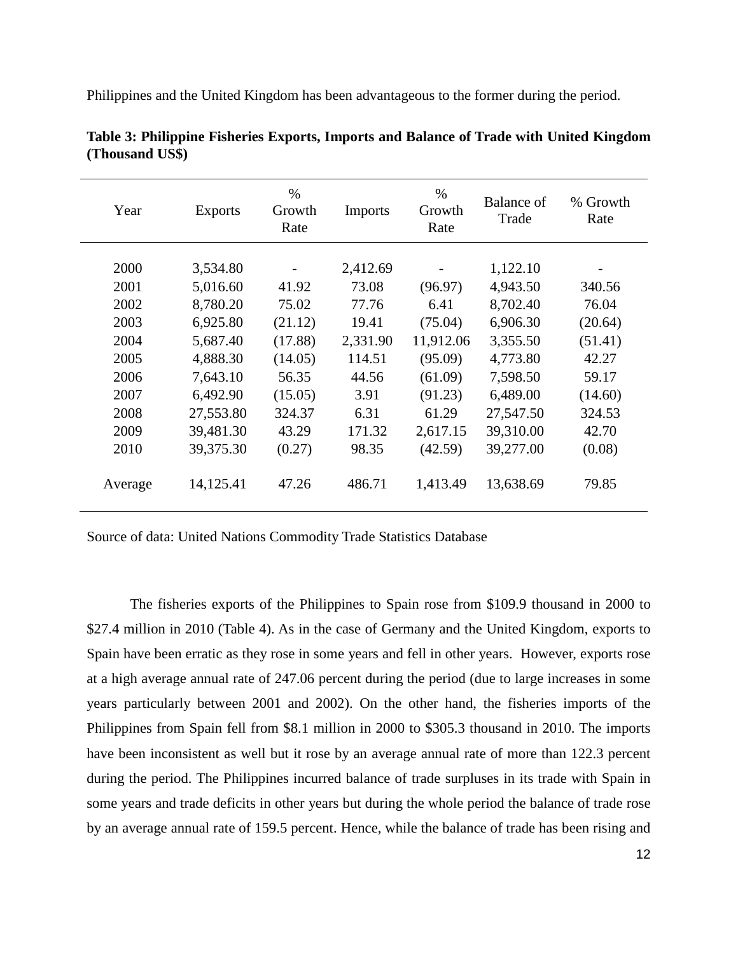Philippines and the United Kingdom has been advantageous to the former during the period.

| Year    | <b>Exports</b> | $\%$<br>Growth<br>Rate | <b>Imports</b> | $\%$<br>Growth<br>Rate | Balance of<br>Trade | % Growth<br>Rate |
|---------|----------------|------------------------|----------------|------------------------|---------------------|------------------|
| 2000    | 3,534.80       |                        | 2,412.69       |                        | 1,122.10            |                  |
| 2001    | 5,016.60       | 41.92                  | 73.08          |                        | 4,943.50            | 340.56           |
|         |                |                        |                | (96.97)                |                     |                  |
| 2002    | 8,780.20       | 75.02                  | 77.76          | 6.41                   | 8,702.40            | 76.04            |
| 2003    | 6,925.80       | (21.12)                | 19.41          | (75.04)                | 6,906.30            | (20.64)          |
| 2004    | 5,687.40       | (17.88)                | 2,331.90       | 11,912.06              | 3,355.50            | (51.41)          |
| 2005    | 4,888.30       | (14.05)                | 114.51         | (95.09)                | 4,773.80            | 42.27            |
| 2006    | 7,643.10       | 56.35                  | 44.56          | (61.09)                | 7,598.50            | 59.17            |
| 2007    | 6,492.90       | (15.05)                | 3.91           | (91.23)                | 6,489.00            | (14.60)          |
| 2008    | 27,553.80      | 324.37                 | 6.31           | 61.29                  | 27,547.50           | 324.53           |
| 2009    | 39,481.30      | 43.29                  | 171.32         | 2,617.15               | 39,310.00           | 42.70            |
| 2010    | 39,375.30      | (0.27)                 | 98.35          | (42.59)                | 39,277.00           | (0.08)           |
| Average | 14,125.41      | 47.26                  | 486.71         | 1,413.49               | 13,638.69           | 79.85            |

**Table 3: Philippine Fisheries Exports, Imports and Balance of Trade with United Kingdom (Thousand US\$)**

Source of data: United Nations Commodity Trade Statistics Database

The fisheries exports of the Philippines to Spain rose from \$109.9 thousand in 2000 to \$27.4 million in 2010 (Table 4). As in the case of Germany and the United Kingdom, exports to Spain have been erratic as they rose in some years and fell in other years. However, exports rose at a high average annual rate of 247.06 percent during the period (due to large increases in some years particularly between 2001 and 2002). On the other hand, the fisheries imports of the Philippines from Spain fell from \$8.1 million in 2000 to \$305.3 thousand in 2010. The imports have been inconsistent as well but it rose by an average annual rate of more than 122.3 percent during the period. The Philippines incurred balance of trade surpluses in its trade with Spain in some years and trade deficits in other years but during the whole period the balance of trade rose by an average annual rate of 159.5 percent. Hence, while the balance of trade has been rising and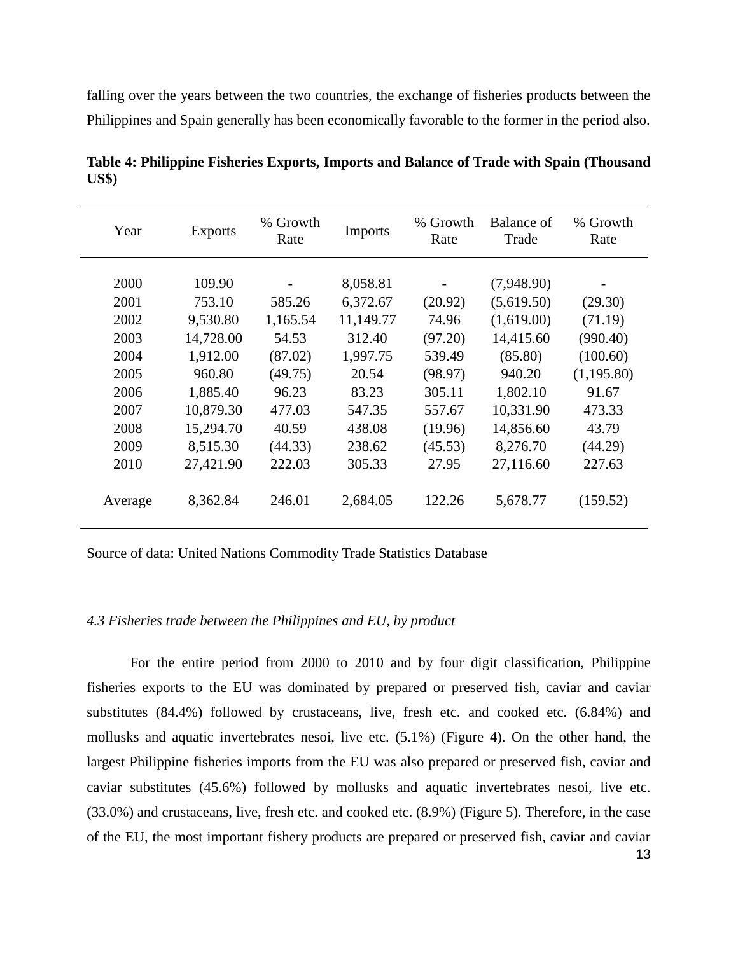falling over the years between the two countries, the exchange of fisheries products between the Philippines and Spain generally has been economically favorable to the former in the period also.

| Year    | <b>Exports</b> | % Growth<br>Rate | <b>Imports</b> | % Growth<br>Rate | Balance of<br>Trade | % Growth<br>Rate |
|---------|----------------|------------------|----------------|------------------|---------------------|------------------|
|         |                |                  |                |                  |                     |                  |
| 2000    | 109.90         |                  | 8,058.81       |                  | (7,948.90)          |                  |
| 2001    | 753.10         | 585.26           | 6,372.67       | (20.92)          | (5,619.50)          | (29.30)          |
| 2002    | 9,530.80       | 1,165.54         | 11,149.77      | 74.96            | (1,619.00)          | (71.19)          |
| 2003    | 14,728.00      | 54.53            | 312.40         | (97.20)          | 14,415.60           | (990.40)         |
| 2004    | 1,912.00       | (87.02)          | 1,997.75       | 539.49           | (85.80)             | (100.60)         |
| 2005    | 960.80         | (49.75)          | 20.54          | (98.97)          | 940.20              | (1,195.80)       |
| 2006    | 1,885.40       | 96.23            | 83.23          | 305.11           | 1,802.10            | 91.67            |
| 2007    | 10,879.30      | 477.03           | 547.35         | 557.67           | 10,331.90           | 473.33           |
| 2008    | 15,294.70      | 40.59            | 438.08         | (19.96)          | 14,856.60           | 43.79            |
| 2009    | 8,515.30       | (44.33)          | 238.62         | (45.53)          | 8,276.70            | (44.29)          |
| 2010    | 27,421.90      | 222.03           | 305.33         | 27.95            | 27,116.60           | 227.63           |
| Average | 8,362.84       | 246.01           | 2,684.05       | 122.26           | 5,678.77            | (159.52)         |

**Table 4: Philippine Fisheries Exports, Imports and Balance of Trade with Spain (Thousand US\$)**

Source of data: United Nations Commodity Trade Statistics Database

### *4.3 Fisheries trade between the Philippines and EU, by product*

13 For the entire period from 2000 to 2010 and by four digit classification, Philippine fisheries exports to the EU was dominated by prepared or preserved fish, caviar and caviar substitutes (84.4%) followed by crustaceans, live, fresh etc. and cooked etc. (6.84%) and mollusks and aquatic invertebrates nesoi, live etc. (5.1%) (Figure 4). On the other hand, the largest Philippine fisheries imports from the EU was also prepared or preserved fish, caviar and caviar substitutes (45.6%) followed by mollusks and aquatic invertebrates nesoi, live etc. (33.0%) and crustaceans, live, fresh etc. and cooked etc. (8.9%) (Figure 5). Therefore, in the case of the EU, the most important fishery products are prepared or preserved fish, caviar and caviar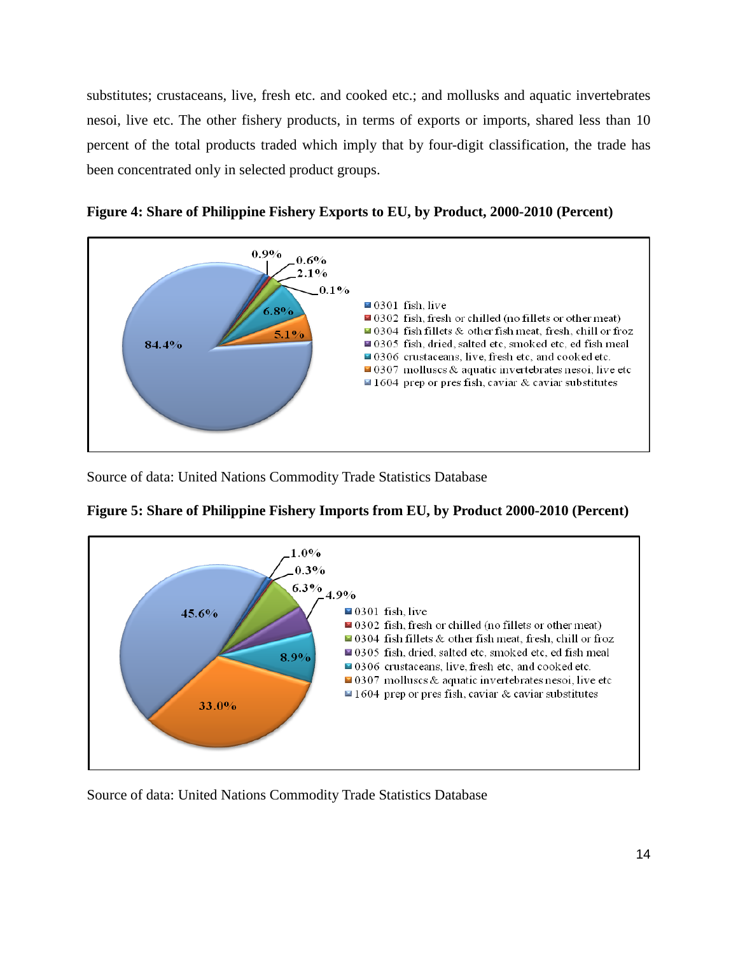substitutes; crustaceans, live, fresh etc. and cooked etc.; and mollusks and aquatic invertebrates nesoi, live etc. The other fishery products, in terms of exports or imports, shared less than 10 percent of the total products traded which imply that by four-digit classification, the trade has been concentrated only in selected product groups.





Source of data: United Nations Commodity Trade Statistics Database



| Figure 5: Share of Philippine Fishery Imports from EU, by Product 2000-2010 (Percent) |
|---------------------------------------------------------------------------------------|
|---------------------------------------------------------------------------------------|

Source of data: United Nations Commodity Trade Statistics Database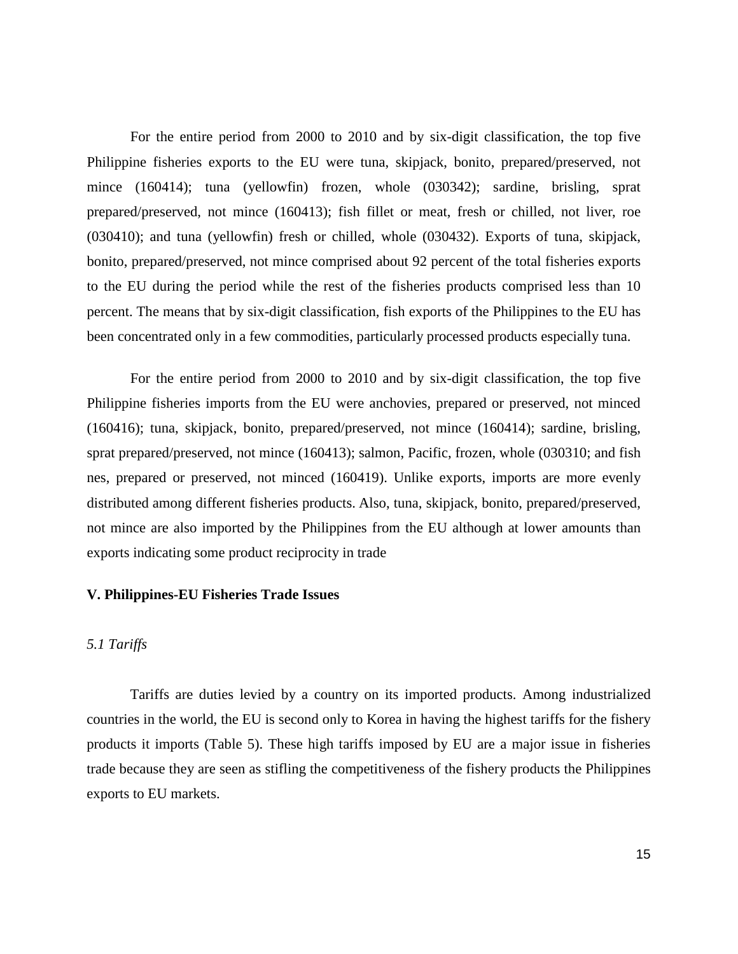For the entire period from 2000 to 2010 and by six-digit classification, the top five Philippine fisheries exports to the EU were tuna, skipjack, bonito, prepared/preserved, not mince (160414); tuna (yellowfin) frozen, whole (030342); sardine, brisling, sprat prepared/preserved, not mince (160413); fish fillet or meat, fresh or chilled, not liver, roe (030410); and tuna (yellowfin) fresh or chilled, whole (030432). Exports of tuna, skipjack, bonito, prepared/preserved, not mince comprised about 92 percent of the total fisheries exports to the EU during the period while the rest of the fisheries products comprised less than 10 percent. The means that by six-digit classification, fish exports of the Philippines to the EU has been concentrated only in a few commodities, particularly processed products especially tuna.

For the entire period from 2000 to 2010 and by six-digit classification, the top five Philippine fisheries imports from the EU were anchovies, prepared or preserved, not minced (160416); tuna, skipjack, bonito, prepared/preserved, not mince (160414); sardine, brisling, sprat prepared/preserved, not mince (160413); salmon, Pacific, frozen, whole (030310; and fish nes, prepared or preserved, not minced (160419). Unlike exports, imports are more evenly distributed among different fisheries products. Also, tuna, skipjack, bonito, prepared/preserved, not mince are also imported by the Philippines from the EU although at lower amounts than exports indicating some product reciprocity in trade

### **V. Philippines-EU Fisheries Trade Issues**

#### *5.1 Tariffs*

Tariffs are duties levied by a country on its imported products. Among industrialized countries in the world, the EU is second only to Korea in having the highest tariffs for the fishery products it imports (Table 5). These high tariffs imposed by EU are a major issue in fisheries trade because they are seen as stifling the competitiveness of the fishery products the Philippines exports to EU markets.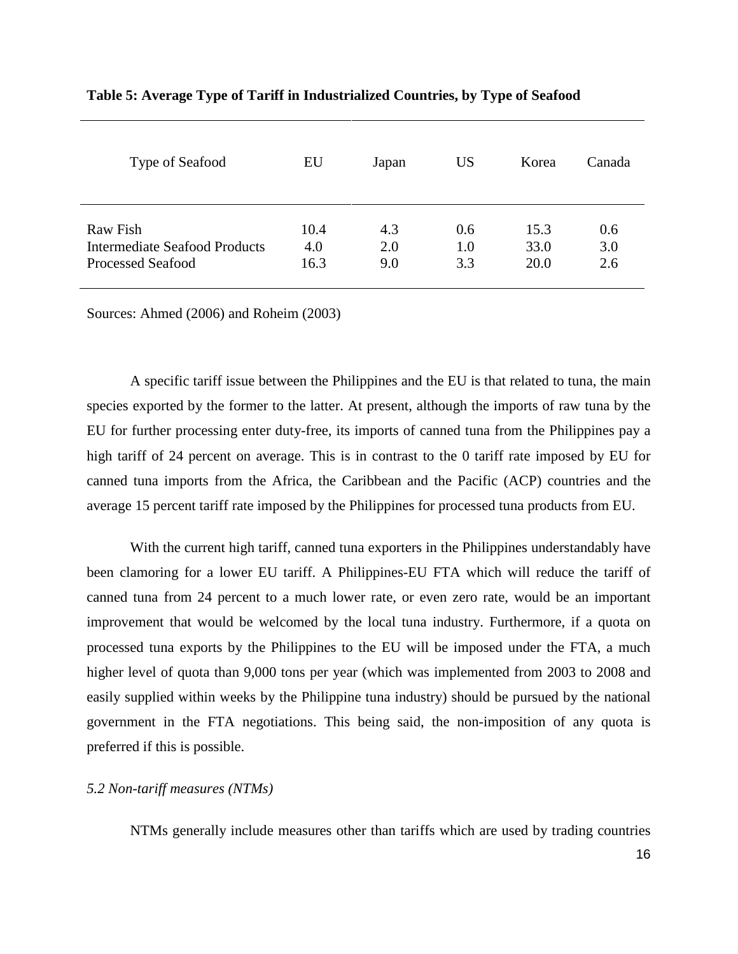| Type of Seafood                      | EU   | Japan | <b>US</b> | Korea | Canada |
|--------------------------------------|------|-------|-----------|-------|--------|
| Raw Fish                             | 10.4 | 4.3   | 0.6       | 15.3  | 0.6    |
| <b>Intermediate Seafood Products</b> | 4.0  | 2.0   | 1.0       | 33.0  | 3.0    |
| <b>Processed Seafood</b>             | 16.3 | 9.0   | 3.3       | 20.0  | 2.6    |

## **Table 5: Average Type of Tariff in Industrialized Countries, by Type of Seafood**

Sources: Ahmed (2006) and Roheim (2003)

A specific tariff issue between the Philippines and the EU is that related to tuna, the main species exported by the former to the latter. At present, although the imports of raw tuna by the EU for further processing enter duty-free, its imports of canned tuna from the Philippines pay a high tariff of 24 percent on average. This is in contrast to the 0 tariff rate imposed by EU for canned tuna imports from the Africa, the Caribbean and the Pacific (ACP) countries and the average 15 percent tariff rate imposed by the Philippines for processed tuna products from EU.

With the current high tariff, canned tuna exporters in the Philippines understandably have been clamoring for a lower EU tariff. A Philippines-EU FTA which will reduce the tariff of canned tuna from 24 percent to a much lower rate, or even zero rate, would be an important improvement that would be welcomed by the local tuna industry. Furthermore, if a quota on processed tuna exports by the Philippines to the EU will be imposed under the FTA, a much higher level of quota than 9,000 tons per year (which was implemented from 2003 to 2008 and easily supplied within weeks by the Philippine tuna industry) should be pursued by the national government in the FTA negotiations. This being said, the non-imposition of any quota is preferred if this is possible.

### *5.2 Non-tariff measures (NTMs)*

NTMs generally include measures other than tariffs which are used by trading countries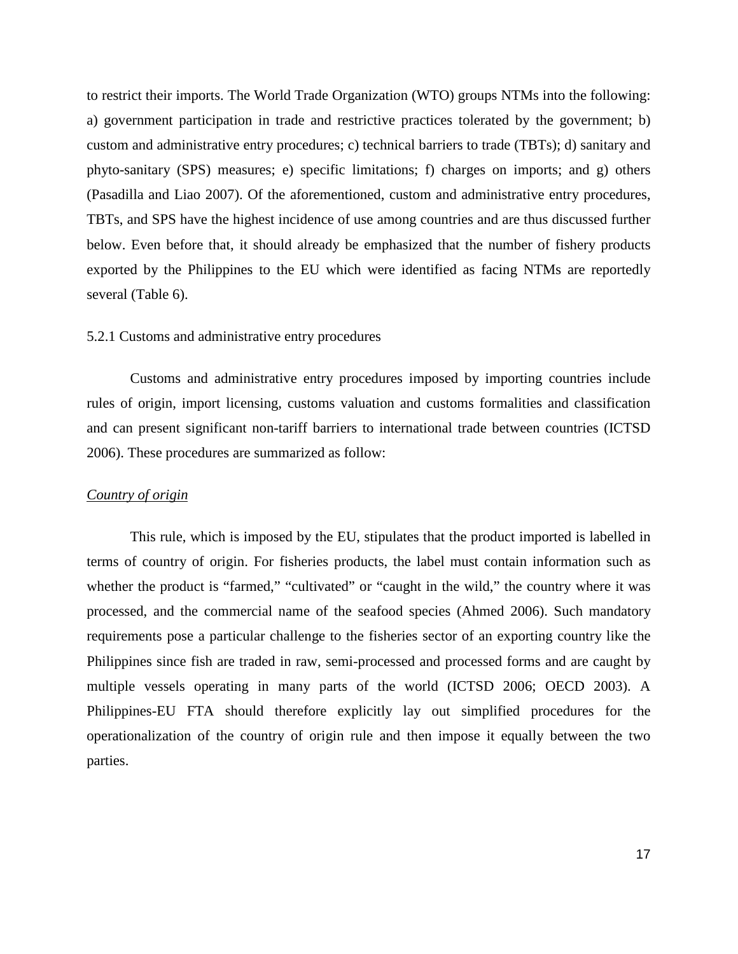to restrict their imports. The World Trade Organization (WTO) groups NTMs into the following: a) government participation in trade and restrictive practices tolerated by the government; b) custom and administrative entry procedures; c) technical barriers to trade (TBTs); d) sanitary and phyto-sanitary (SPS) measures; e) specific limitations; f) charges on imports; and g) others (Pasadilla and Liao 2007). Of the aforementioned, custom and administrative entry procedures, TBTs, and SPS have the highest incidence of use among countries and are thus discussed further below. Even before that, it should already be emphasized that the number of fishery products exported by the Philippines to the EU which were identified as facing NTMs are reportedly several (Table 6).

### 5.2.1 Customs and administrative entry procedures

Customs and administrative entry procedures imposed by importing countries include rules of origin, import licensing, customs valuation and customs formalities and classification and can present significant non-tariff barriers to international trade between countries (ICTSD 2006). These procedures are summarized as follow:

#### *Country of origin*

This rule, which is imposed by the EU, stipulates that the product imported is labelled in terms of country of origin. For fisheries products, the label must contain information such as whether the product is "farmed," "cultivated" or "caught in the wild," the country where it was processed, and the commercial name of the seafood species (Ahmed 2006). Such mandatory requirements pose a particular challenge to the fisheries sector of an exporting country like the Philippines since fish are traded in raw, semi-processed and processed forms and are caught by multiple vessels operating in many parts of the world (ICTSD 2006; OECD 2003). A Philippines-EU FTA should therefore explicitly lay out simplified procedures for the operationalization of the country of origin rule and then impose it equally between the two parties.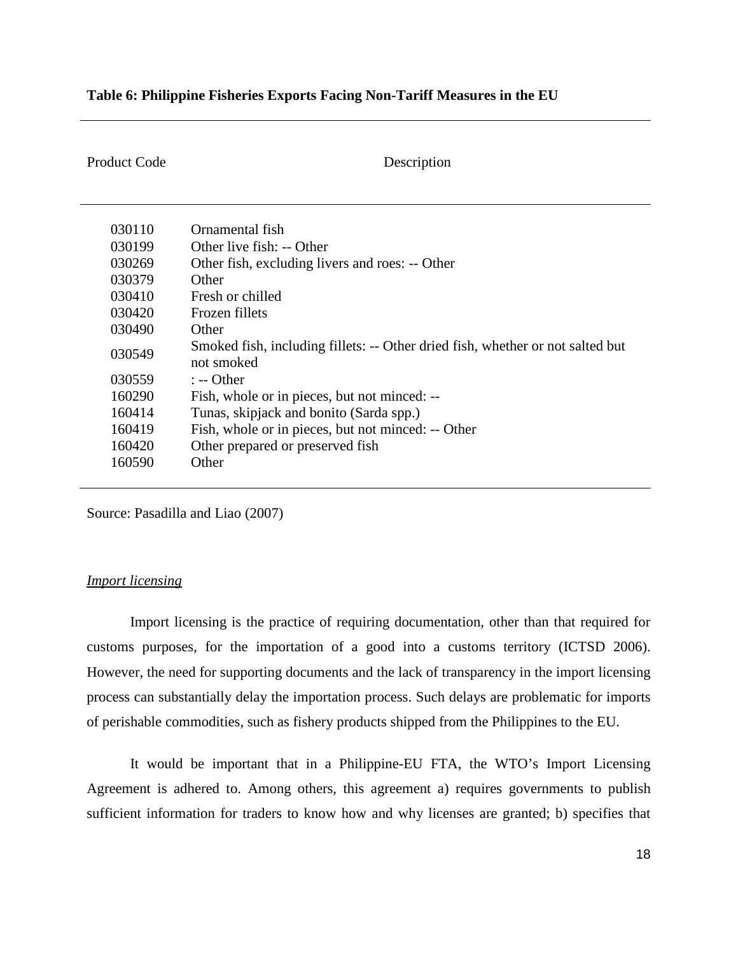## **Table 6: Philippine Fisheries Exports Facing Non-Tariff Measures in the EU**

Product Code Description

| 030110 | Ornamental fish                                                                              |
|--------|----------------------------------------------------------------------------------------------|
| 030199 | Other live fish: -- Other                                                                    |
| 030269 | Other fish, excluding livers and roes: -- Other                                              |
| 030379 | Other                                                                                        |
| 030410 | Fresh or chilled                                                                             |
| 030420 | Frozen fillets                                                                               |
| 030490 | Other                                                                                        |
| 030549 | Smoked fish, including fillets: -- Other dried fish, whether or not salted but<br>not smoked |
| 030559 | $: -$ Other                                                                                  |
| 160290 | Fish, whole or in pieces, but not minced: --                                                 |
| 160414 | Tunas, skipjack and bonito (Sarda spp.)                                                      |
| 160419 | Fish, whole or in pieces, but not minced: -- Other                                           |
| 160420 | Other prepared or preserved fish                                                             |
| 160590 | Other                                                                                        |

Source: Pasadilla and Liao (2007)

## *Import licensing*

Import licensing is the practice of requiring documentation, other than that required for customs purposes, for the importation of a good into a customs territory (ICTSD 2006). However, the need for supporting documents and the lack of transparency in the import licensing process can substantially delay the importation process. Such delays are problematic for imports of perishable commodities, such as fishery products shipped from the Philippines to the EU.

It would be important that in a Philippine-EU FTA, the WTO's Import Licensing Agreement is adhered to. Among others, this agreement a) requires governments to publish sufficient information for traders to know how and why licenses are granted; b) specifies that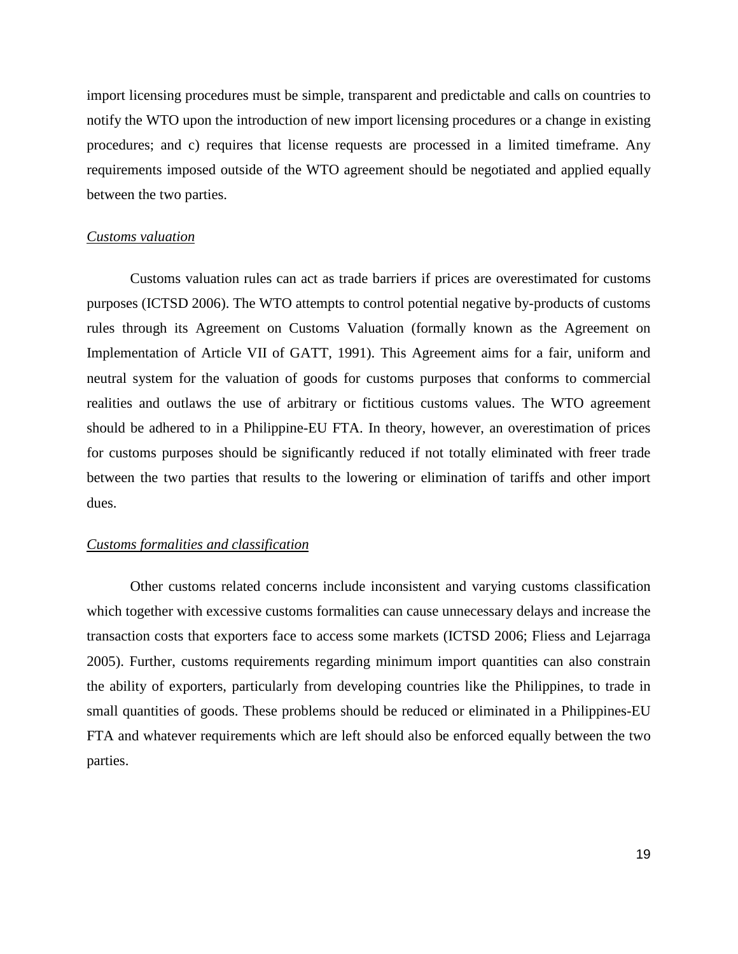import licensing procedures must be simple, transparent and predictable and calls on countries to notify the WTO upon the introduction of new import licensing procedures or a change in existing procedures; and c) requires that license requests are processed in a limited timeframe. Any requirements imposed outside of the WTO agreement should be negotiated and applied equally between the two parties.

### *Customs valuation*

Customs valuation rules can act as trade barriers if prices are overestimated for customs purposes (ICTSD 2006). The WTO attempts to control potential negative by-products of customs rules through its Agreement on Customs Valuation (formally known as the Agreement on Implementation of Article VII of GATT, 1991). This Agreement aims for a fair, uniform and neutral system for the valuation of goods for customs purposes that conforms to commercial realities and outlaws the use of arbitrary or fictitious customs values. The WTO agreement should be adhered to in a Philippine-EU FTA. In theory, however, an overestimation of prices for customs purposes should be significantly reduced if not totally eliminated with freer trade between the two parties that results to the lowering or elimination of tariffs and other import dues.

#### *Customs formalities and classification*

Other customs related concerns include inconsistent and varying customs classification which together with excessive customs formalities can cause unnecessary delays and increase the transaction costs that exporters face to access some markets (ICTSD 2006; Fliess and Lejarraga 2005). Further, customs requirements regarding minimum import quantities can also constrain the ability of exporters, particularly from developing countries like the Philippines, to trade in small quantities of goods. These problems should be reduced or eliminated in a Philippines-EU FTA and whatever requirements which are left should also be enforced equally between the two parties.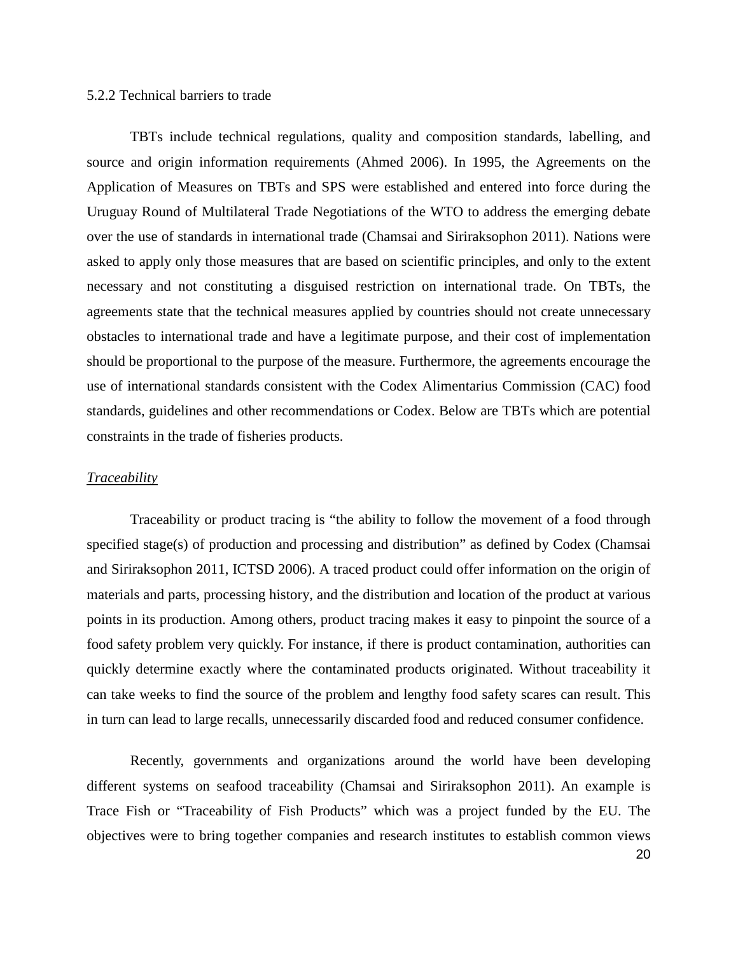## 5.2.2 Technical barriers to trade

TBTs include technical regulations, quality and composition standards, labelling, and source and origin information requirements (Ahmed 2006). In 1995, the Agreements on the Application of Measures on TBTs and SPS were established and entered into force during the Uruguay Round of Multilateral Trade Negotiations of the WTO to address the emerging debate over the use of standards in international trade (Chamsai and Siriraksophon 2011). Nations were asked to apply only those measures that are based on scientific principles, and only to the extent necessary and not constituting a disguised restriction on international trade. On TBTs, the agreements state that the technical measures applied by countries should not create unnecessary obstacles to international trade and have a legitimate purpose, and their cost of implementation should be proportional to the purpose of the measure. Furthermore, the agreements encourage the use of international standards consistent with the Codex Alimentarius Commission (CAC) food standards, guidelines and other recommendations or Codex. Below are TBTs which are potential constraints in the trade of fisheries products.

### *Traceability*

Traceability or product tracing is "the ability to follow the movement of a food through specified stage(s) of production and processing and distribution" as defined by Codex (Chamsai and Siriraksophon 2011, ICTSD 2006). A traced product could offer information on the origin of materials and parts, processing history, and the distribution and location of the product at various points in its production. Among others, product tracing makes it easy to pinpoint the source of a food safety problem very quickly. For instance, if there is product contamination, authorities can quickly determine exactly where the contaminated products originated. Without traceability it can take weeks to find the source of the problem and lengthy food safety scares can result. This in turn can lead to large recalls, unnecessarily discarded food and reduced consumer confidence.

Recently, governments and organizations around the world have been developing different systems on seafood traceability (Chamsai and Siriraksophon 2011). An example is Trace Fish or "Traceability of Fish Products" which was a project funded by the EU. The objectives were to bring together companies and research institutes to establish common views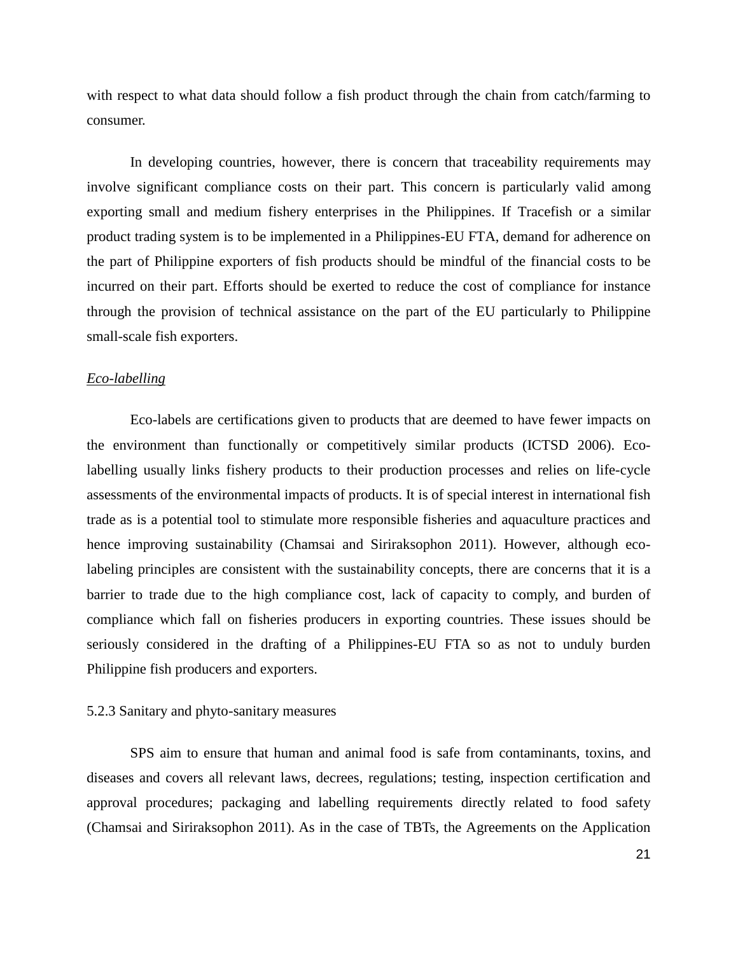with respect to what data should follow a fish product through the chain from catch/farming to consumer.

In developing countries, however, there is concern that traceability requirements may involve significant compliance costs on their part. This concern is particularly valid among exporting small and medium fishery enterprises in the Philippines. If Tracefish or a similar product trading system is to be implemented in a Philippines-EU FTA, demand for adherence on the part of Philippine exporters of fish products should be mindful of the financial costs to be incurred on their part. Efforts should be exerted to reduce the cost of compliance for instance through the provision of technical assistance on the part of the EU particularly to Philippine small-scale fish exporters.

#### *Eco-labelling*

Eco-labels are certifications given to products that are deemed to have fewer impacts on the environment than functionally or competitively similar products (ICTSD 2006). Ecolabelling usually links fishery products to their production processes and relies on life-cycle assessments of the environmental impacts of products. It is of special interest in international fish trade as is a potential tool to stimulate more responsible fisheries and aquaculture practices and hence improving sustainability (Chamsai and Siriraksophon 2011). However, although ecolabeling principles are consistent with the sustainability concepts, there are concerns that it is a barrier to trade due to the high compliance cost, lack of capacity to comply, and burden of compliance which fall on fisheries producers in exporting countries. These issues should be seriously considered in the drafting of a Philippines-EU FTA so as not to unduly burden Philippine fish producers and exporters.

### 5.2.3 Sanitary and phyto-sanitary measures

SPS aim to ensure that human and animal food is safe from contaminants, toxins, and diseases and covers all relevant laws, decrees, regulations; testing, inspection certification and approval procedures; packaging and labelling requirements directly related to food safety (Chamsai and Siriraksophon 2011). As in the case of TBTs, the Agreements on the Application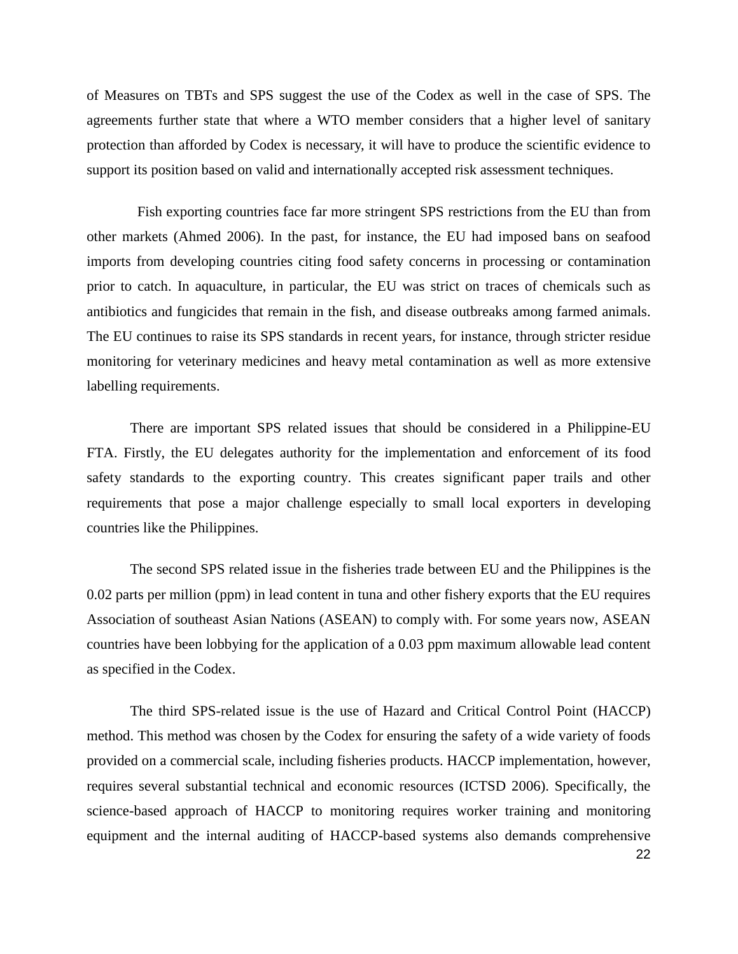of Measures on TBTs and SPS suggest the use of the Codex as well in the case of SPS. The agreements further state that where a WTO member considers that a higher level of sanitary protection than afforded by Codex is necessary, it will have to produce the scientific evidence to support its position based on valid and internationally accepted risk assessment techniques.

 Fish exporting countries face far more stringent SPS restrictions from the EU than from other markets (Ahmed 2006). In the past, for instance, the EU had imposed bans on seafood imports from developing countries citing food safety concerns in processing or contamination prior to catch. In aquaculture, in particular, the EU was strict on traces of chemicals such as antibiotics and fungicides that remain in the fish, and disease outbreaks among farmed animals. The EU continues to raise its SPS standards in recent years, for instance, through stricter residue monitoring for veterinary medicines and heavy metal contamination as well as more extensive labelling requirements.

There are important SPS related issues that should be considered in a Philippine-EU FTA. Firstly, the EU delegates authority for the implementation and enforcement of its food safety standards to the exporting country. This creates significant paper trails and other requirements that pose a major challenge especially to small local exporters in developing countries like the Philippines.

The second SPS related issue in the fisheries trade between EU and the Philippines is the 0.02 parts per million (ppm) in lead content in tuna and other fishery exports that the EU requires Association of southeast Asian Nations (ASEAN) to comply with. For some years now, ASEAN countries have been lobbying for the application of a 0.03 ppm maximum allowable lead content as specified in the Codex.

The third SPS-related issue is the use of Hazard and Critical Control Point (HACCP) method. This method was chosen by the Codex for ensuring the safety of a wide variety of foods provided on a commercial scale, including fisheries products. HACCP implementation, however, requires several substantial technical and economic resources (ICTSD 2006). Specifically, the science-based approach of HACCP to monitoring requires worker training and monitoring equipment and the internal auditing of HACCP-based systems also demands comprehensive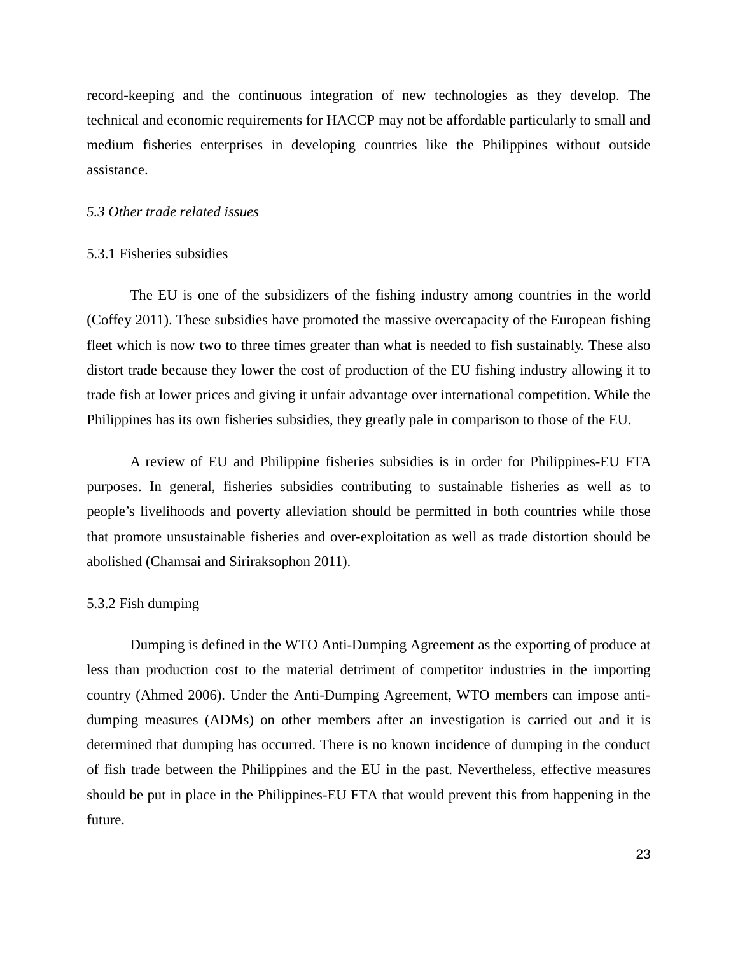record-keeping and the continuous integration of new technologies as they develop. The technical and economic requirements for HACCP may not be affordable particularly to small and medium fisheries enterprises in developing countries like the Philippines without outside assistance.

## *5.3 Other trade related issues*

#### 5.3.1 Fisheries subsidies

The EU is one of the subsidizers of the fishing industry among countries in the world (Coffey 2011). These subsidies have promoted the massive overcapacity of the European fishing fleet which is now two to three times greater than what is needed to fish sustainably. These also distort trade because they lower the cost of production of the EU fishing industry allowing it to trade fish at lower prices and giving it unfair advantage over international competition. While the Philippines has its own fisheries subsidies, they greatly pale in comparison to those of the EU.

A review of EU and Philippine fisheries subsidies is in order for Philippines-EU FTA purposes. In general, fisheries subsidies contributing to sustainable fisheries as well as to people's livelihoods and poverty alleviation should be permitted in both countries while those that promote unsustainable fisheries and over-exploitation as well as trade distortion should be abolished (Chamsai and Siriraksophon 2011).

#### 5.3.2 Fish dumping

Dumping is defined in the WTO Anti-Dumping Agreement as the exporting of produce at less than production cost to the material detriment of competitor industries in the importing country (Ahmed 2006). Under the Anti-Dumping Agreement, WTO members can impose antidumping measures (ADMs) on other members after an investigation is carried out and it is determined that dumping has occurred. There is no known incidence of dumping in the conduct of fish trade between the Philippines and the EU in the past. Nevertheless, effective measures should be put in place in the Philippines-EU FTA that would prevent this from happening in the future.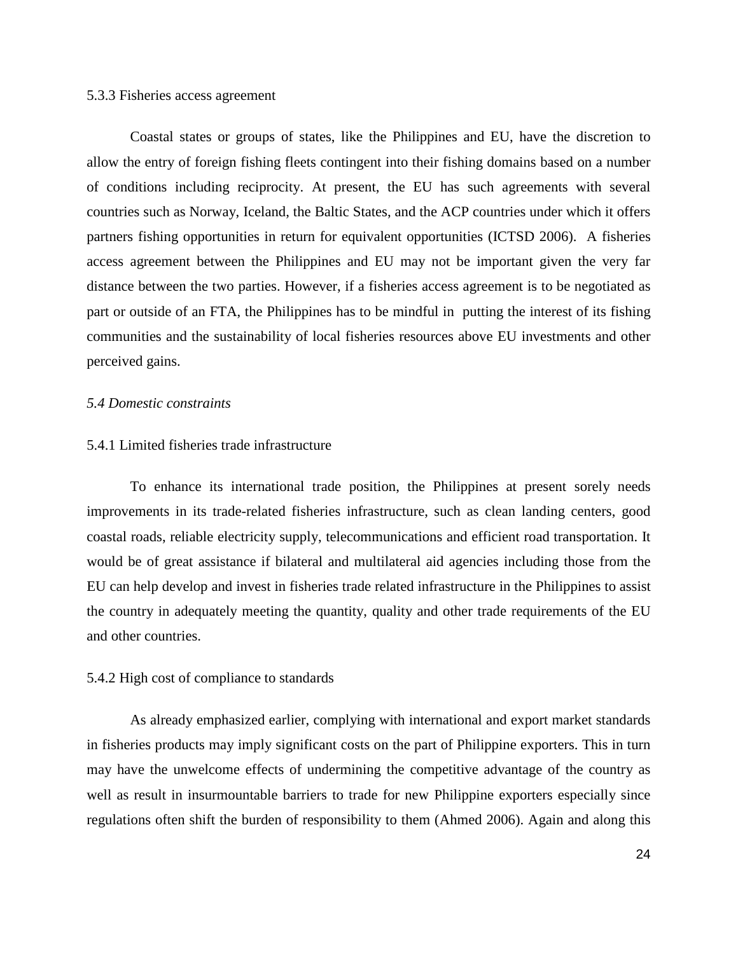#### 5.3.3 Fisheries access agreement

Coastal states or groups of states, like the Philippines and EU, have the discretion to allow the entry of foreign fishing fleets contingent into their fishing domains based on a number of conditions including reciprocity. At present, the EU has such agreements with several countries such as Norway, Iceland, the Baltic States, and the ACP countries under which it offers partners fishing opportunities in return for equivalent opportunities (ICTSD 2006). A fisheries access agreement between the Philippines and EU may not be important given the very far distance between the two parties. However, if a fisheries access agreement is to be negotiated as part or outside of an FTA, the Philippines has to be mindful in putting the interest of its fishing communities and the sustainability of local fisheries resources above EU investments and other perceived gains.

#### *5.4 Domestic constraints*

## 5.4.1 Limited fisheries trade infrastructure

To enhance its international trade position, the Philippines at present sorely needs improvements in its trade-related fisheries infrastructure, such as clean landing centers, good coastal roads, reliable electricity supply, telecommunications and efficient road transportation. It would be of great assistance if bilateral and multilateral aid agencies including those from the EU can help develop and invest in fisheries trade related infrastructure in the Philippines to assist the country in adequately meeting the quantity, quality and other trade requirements of the EU and other countries.

### 5.4.2 High cost of compliance to standards

As already emphasized earlier, complying with international and export market standards in fisheries products may imply significant costs on the part of Philippine exporters. This in turn may have the unwelcome effects of undermining the competitive advantage of the country as well as result in insurmountable barriers to trade for new Philippine exporters especially since regulations often shift the burden of responsibility to them (Ahmed 2006). Again and along this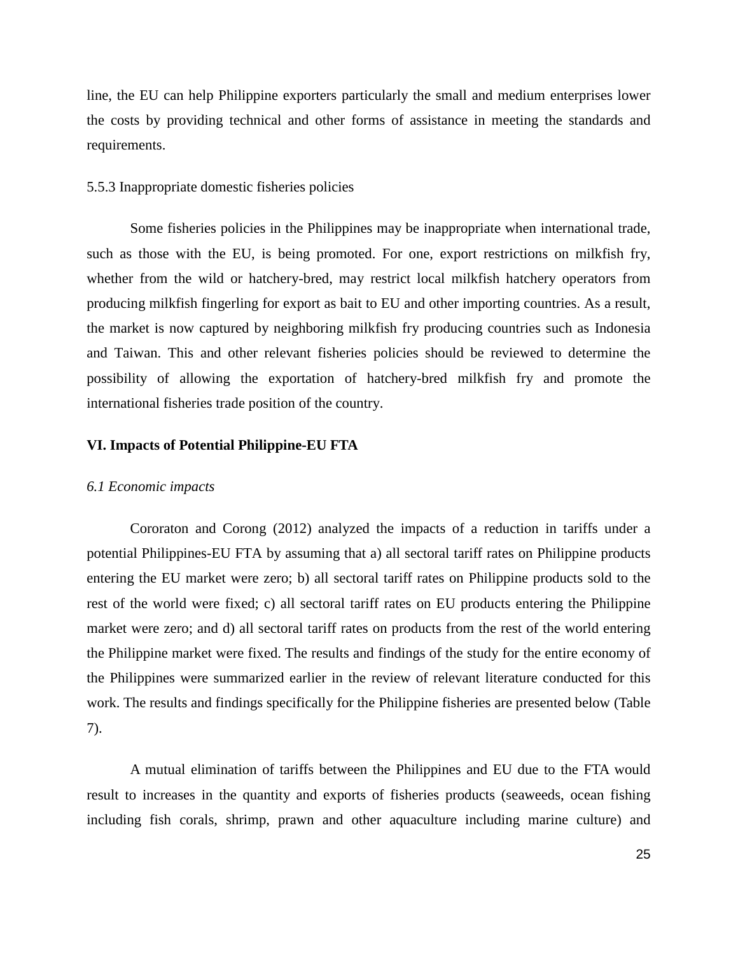line, the EU can help Philippine exporters particularly the small and medium enterprises lower the costs by providing technical and other forms of assistance in meeting the standards and requirements.

### 5.5.3 Inappropriate domestic fisheries policies

Some fisheries policies in the Philippines may be inappropriate when international trade, such as those with the EU, is being promoted. For one, export restrictions on milkfish fry, whether from the wild or hatchery-bred, may restrict local milkfish hatchery operators from producing milkfish fingerling for export as bait to EU and other importing countries. As a result, the market is now captured by neighboring milkfish fry producing countries such as Indonesia and Taiwan. This and other relevant fisheries policies should be reviewed to determine the possibility of allowing the exportation of hatchery-bred milkfish fry and promote the international fisheries trade position of the country.

### **VI. Impacts of Potential Philippine-EU FTA**

#### *6.1 Economic impacts*

Cororaton and Corong (2012) analyzed the impacts of a reduction in tariffs under a potential Philippines-EU FTA by assuming that a) all sectoral tariff rates on Philippine products entering the EU market were zero; b) all sectoral tariff rates on Philippine products sold to the rest of the world were fixed; c) all sectoral tariff rates on EU products entering the Philippine market were zero; and d) all sectoral tariff rates on products from the rest of the world entering the Philippine market were fixed. The results and findings of the study for the entire economy of the Philippines were summarized earlier in the review of relevant literature conducted for this work. The results and findings specifically for the Philippine fisheries are presented below (Table 7).

A mutual elimination of tariffs between the Philippines and EU due to the FTA would result to increases in the quantity and exports of fisheries products (seaweeds, ocean fishing including fish corals, shrimp, prawn and other aquaculture including marine culture) and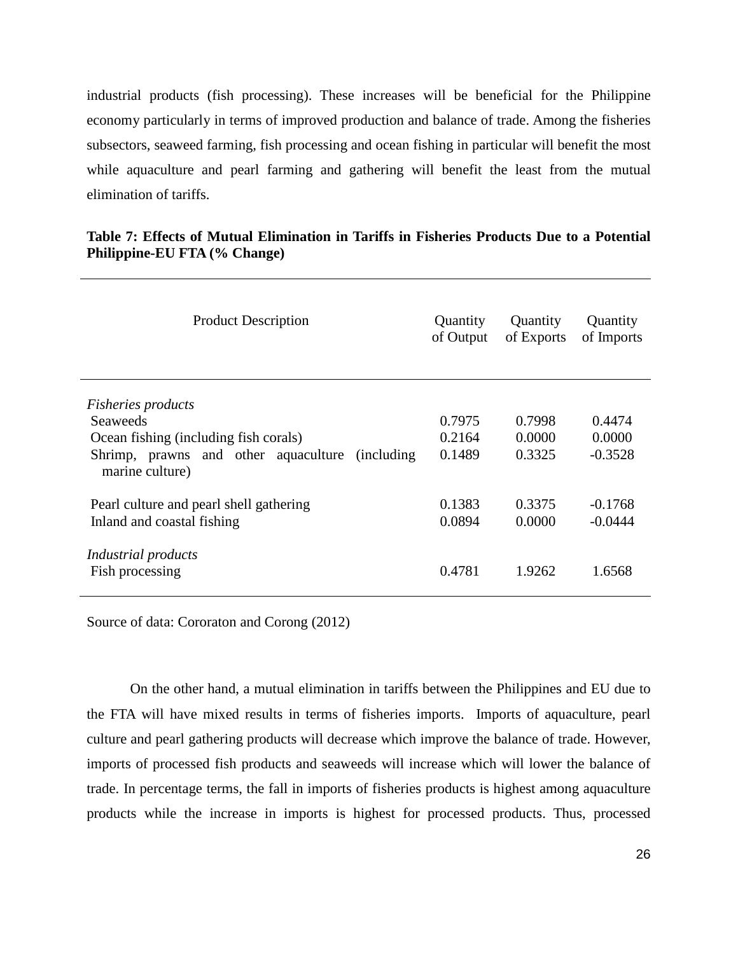industrial products (fish processing). These increases will be beneficial for the Philippine economy particularly in terms of improved production and balance of trade. Among the fisheries subsectors, seaweed farming, fish processing and ocean fishing in particular will benefit the most while aquaculture and pearl farming and gathering will benefit the least from the mutual elimination of tariffs.

| <b>Product Description</b>                                                    | Quantity<br>of Output | Quantity<br>of Exports | Quantity<br>of Imports |
|-------------------------------------------------------------------------------|-----------------------|------------------------|------------------------|
| <i>Fisheries products</i>                                                     |                       |                        |                        |
| <b>Seaweeds</b>                                                               | 0.7975                | 0.7998                 | 0.4474                 |
| Ocean fishing (including fish corals)                                         | 0.2164                | 0.0000                 | 0.0000                 |
| Shrimp, prawns and other aquaculture<br><i>(including)</i><br>marine culture) | 0.1489                | 0.3325                 | $-0.3528$              |
| Pearl culture and pearl shell gathering                                       | 0.1383                | 0.3375                 | $-0.1768$              |
| Inland and coastal fishing                                                    | 0.0894                | 0.0000                 | $-0.0444$              |
| Industrial products<br>Fish processing                                        | 0.4781                | 1.9262                 | 1.6568                 |

# **Table 7: Effects of Mutual Elimination in Tariffs in Fisheries Products Due to a Potential Philippine-EU FTA (% Change)**

Source of data: Cororaton and Corong (2012)

On the other hand, a mutual elimination in tariffs between the Philippines and EU due to the FTA will have mixed results in terms of fisheries imports. Imports of aquaculture, pearl culture and pearl gathering products will decrease which improve the balance of trade. However, imports of processed fish products and seaweeds will increase which will lower the balance of trade. In percentage terms, the fall in imports of fisheries products is highest among aquaculture products while the increase in imports is highest for processed products. Thus, processed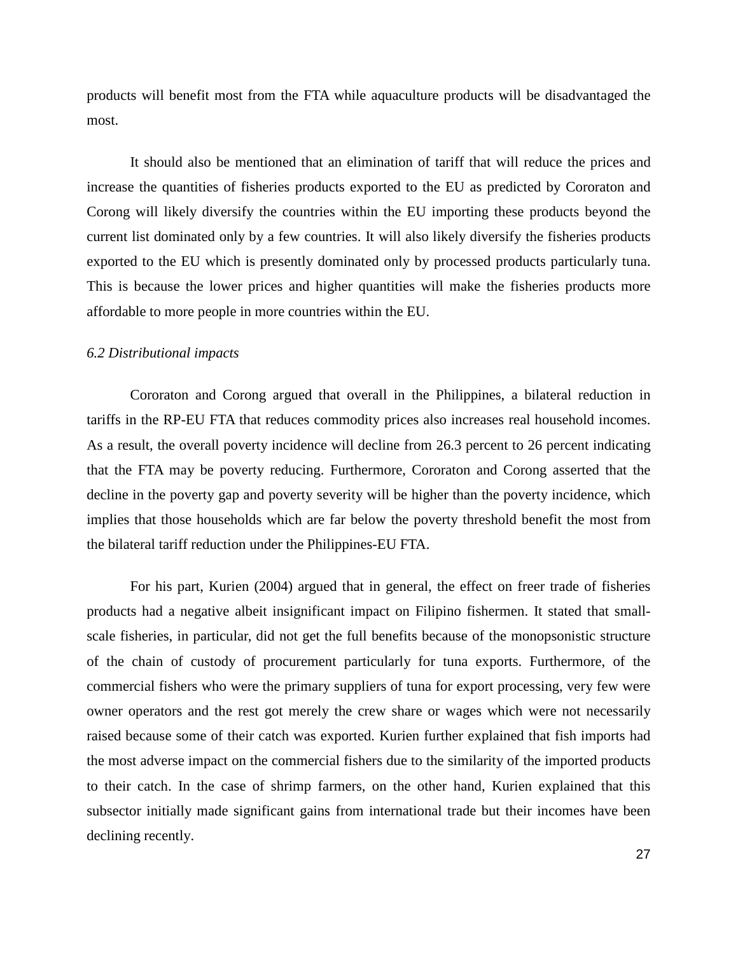products will benefit most from the FTA while aquaculture products will be disadvantaged the most.

It should also be mentioned that an elimination of tariff that will reduce the prices and increase the quantities of fisheries products exported to the EU as predicted by Cororaton and Corong will likely diversify the countries within the EU importing these products beyond the current list dominated only by a few countries. It will also likely diversify the fisheries products exported to the EU which is presently dominated only by processed products particularly tuna. This is because the lower prices and higher quantities will make the fisheries products more affordable to more people in more countries within the EU.

### *6.2 Distributional impacts*

Cororaton and Corong argued that overall in the Philippines, a bilateral reduction in tariffs in the RP-EU FTA that reduces commodity prices also increases real household incomes. As a result, the overall poverty incidence will decline from 26.3 percent to 26 percent indicating that the FTA may be poverty reducing. Furthermore, Cororaton and Corong asserted that the decline in the poverty gap and poverty severity will be higher than the poverty incidence, which implies that those households which are far below the poverty threshold benefit the most from the bilateral tariff reduction under the Philippines-EU FTA.

For his part, Kurien (2004) argued that in general, the effect on freer trade of fisheries products had a negative albeit insignificant impact on Filipino fishermen. It stated that smallscale fisheries, in particular, did not get the full benefits because of the monopsonistic structure of the chain of custody of procurement particularly for tuna exports. Furthermore, of the commercial fishers who were the primary suppliers of tuna for export processing, very few were owner operators and the rest got merely the crew share or wages which were not necessarily raised because some of their catch was exported. Kurien further explained that fish imports had the most adverse impact on the commercial fishers due to the similarity of the imported products to their catch. In the case of shrimp farmers, on the other hand, Kurien explained that this subsector initially made significant gains from international trade but their incomes have been declining recently.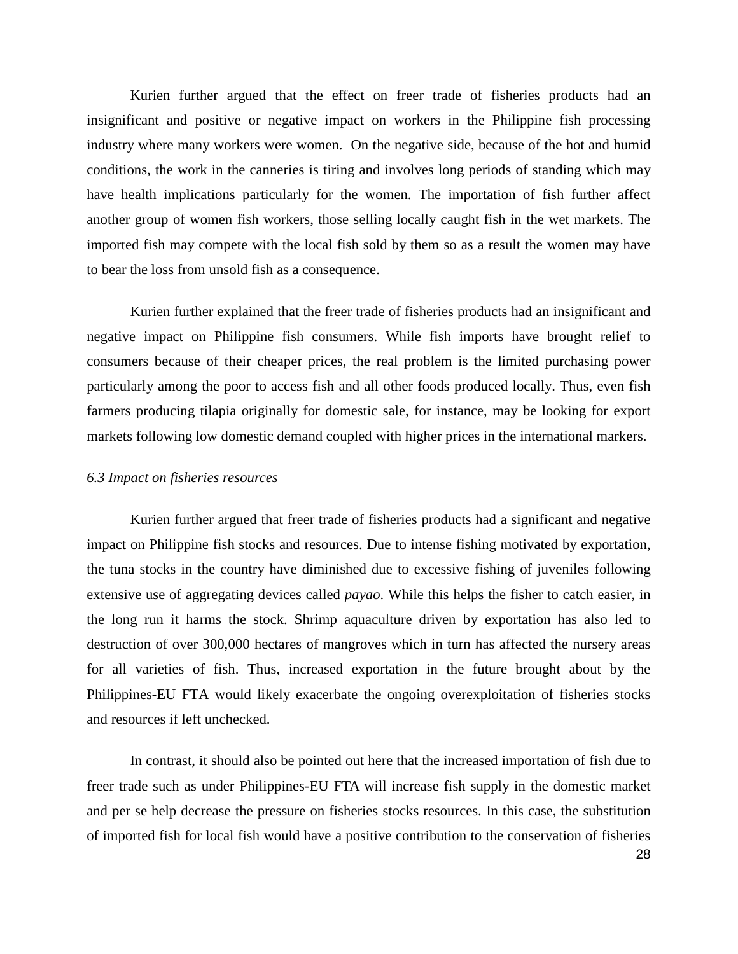Kurien further argued that the effect on freer trade of fisheries products had an insignificant and positive or negative impact on workers in the Philippine fish processing industry where many workers were women. On the negative side, because of the hot and humid conditions, the work in the canneries is tiring and involves long periods of standing which may have health implications particularly for the women. The importation of fish further affect another group of women fish workers, those selling locally caught fish in the wet markets. The imported fish may compete with the local fish sold by them so as a result the women may have to bear the loss from unsold fish as a consequence.

Kurien further explained that the freer trade of fisheries products had an insignificant and negative impact on Philippine fish consumers. While fish imports have brought relief to consumers because of their cheaper prices, the real problem is the limited purchasing power particularly among the poor to access fish and all other foods produced locally. Thus, even fish farmers producing tilapia originally for domestic sale, for instance, may be looking for export markets following low domestic demand coupled with higher prices in the international markers.

### *6.3 Impact on fisheries resources*

Kurien further argued that freer trade of fisheries products had a significant and negative impact on Philippine fish stocks and resources. Due to intense fishing motivated by exportation, the tuna stocks in the country have diminished due to excessive fishing of juveniles following extensive use of aggregating devices called *payao*. While this helps the fisher to catch easier, in the long run it harms the stock. Shrimp aquaculture driven by exportation has also led to destruction of over 300,000 hectares of mangroves which in turn has affected the nursery areas for all varieties of fish. Thus, increased exportation in the future brought about by the Philippines-EU FTA would likely exacerbate the ongoing overexploitation of fisheries stocks and resources if left unchecked.

In contrast, it should also be pointed out here that the increased importation of fish due to freer trade such as under Philippines-EU FTA will increase fish supply in the domestic market and per se help decrease the pressure on fisheries stocks resources. In this case, the substitution of imported fish for local fish would have a positive contribution to the conservation of fisheries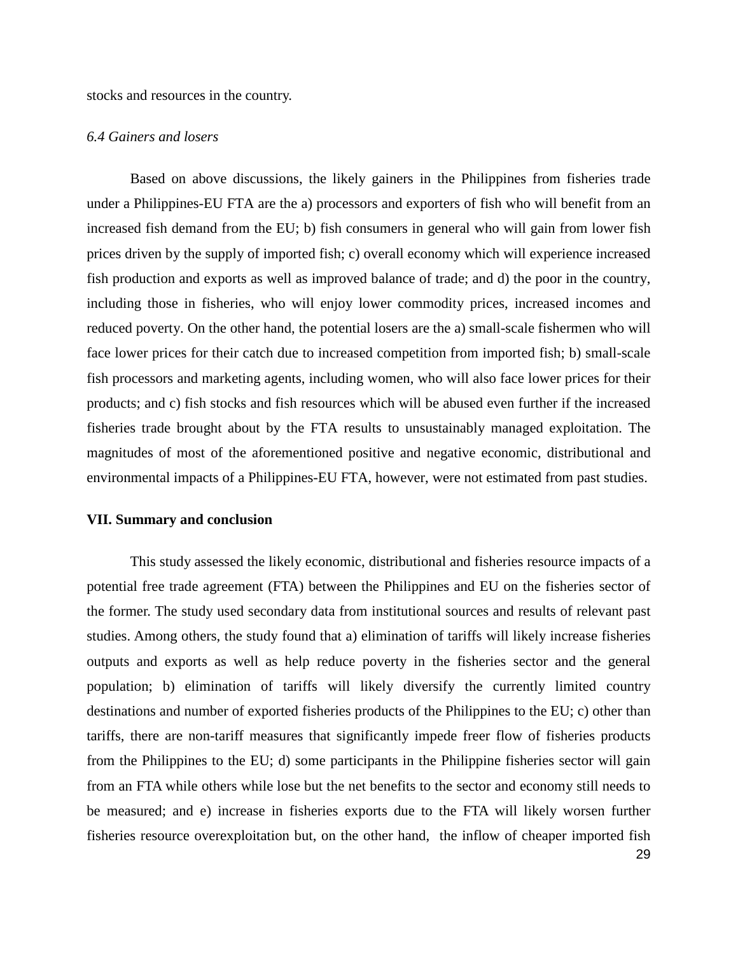stocks and resources in the country.

#### *6.4 Gainers and losers*

Based on above discussions, the likely gainers in the Philippines from fisheries trade under a Philippines-EU FTA are the a) processors and exporters of fish who will benefit from an increased fish demand from the EU; b) fish consumers in general who will gain from lower fish prices driven by the supply of imported fish; c) overall economy which will experience increased fish production and exports as well as improved balance of trade; and d) the poor in the country, including those in fisheries, who will enjoy lower commodity prices, increased incomes and reduced poverty. On the other hand, the potential losers are the a) small-scale fishermen who will face lower prices for their catch due to increased competition from imported fish; b) small-scale fish processors and marketing agents, including women, who will also face lower prices for their products; and c) fish stocks and fish resources which will be abused even further if the increased fisheries trade brought about by the FTA results to unsustainably managed exploitation. The magnitudes of most of the aforementioned positive and negative economic, distributional and environmental impacts of a Philippines-EU FTA, however, were not estimated from past studies.

### **VII. Summary and conclusion**

This study assessed the likely economic, distributional and fisheries resource impacts of a potential free trade agreement (FTA) between the Philippines and EU on the fisheries sector of the former. The study used secondary data from institutional sources and results of relevant past studies. Among others, the study found that a) elimination of tariffs will likely increase fisheries outputs and exports as well as help reduce poverty in the fisheries sector and the general population; b) elimination of tariffs will likely diversify the currently limited country destinations and number of exported fisheries products of the Philippines to the EU; c) other than tariffs, there are non-tariff measures that significantly impede freer flow of fisheries products from the Philippines to the EU; d) some participants in the Philippine fisheries sector will gain from an FTA while others while lose but the net benefits to the sector and economy still needs to be measured; and e) increase in fisheries exports due to the FTA will likely worsen further fisheries resource overexploitation but, on the other hand, the inflow of cheaper imported fish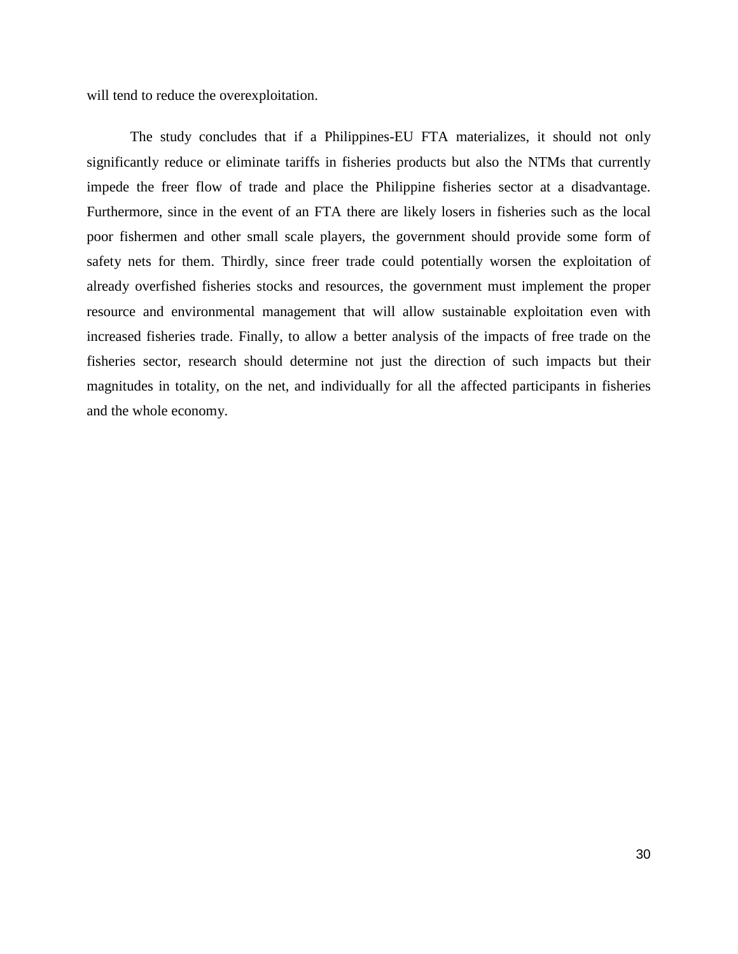will tend to reduce the overexploitation.

The study concludes that if a Philippines-EU FTA materializes, it should not only significantly reduce or eliminate tariffs in fisheries products but also the NTMs that currently impede the freer flow of trade and place the Philippine fisheries sector at a disadvantage. Furthermore, since in the event of an FTA there are likely losers in fisheries such as the local poor fishermen and other small scale players, the government should provide some form of safety nets for them. Thirdly, since freer trade could potentially worsen the exploitation of already overfished fisheries stocks and resources, the government must implement the proper resource and environmental management that will allow sustainable exploitation even with increased fisheries trade. Finally, to allow a better analysis of the impacts of free trade on the fisheries sector, research should determine not just the direction of such impacts but their magnitudes in totality, on the net, and individually for all the affected participants in fisheries and the whole economy.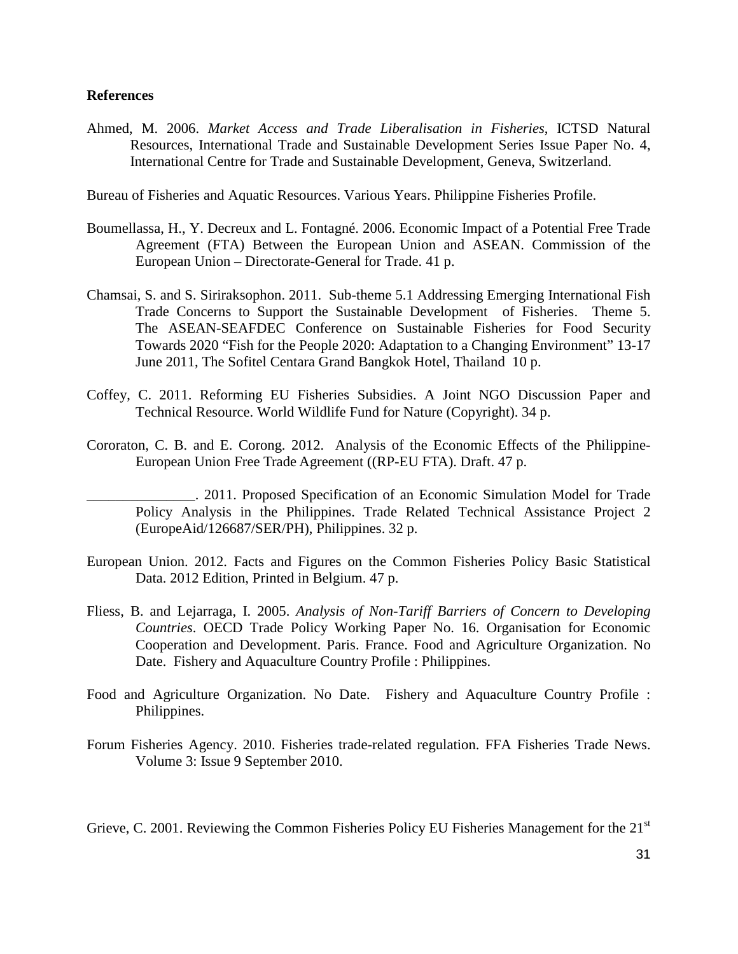## **References**

Ahmed, M. 2006. *Market Access and Trade Liberalisation in Fisheries*, ICTSD Natural Resources, International Trade and Sustainable Development Series Issue Paper No. 4, International Centre for Trade and Sustainable Development, Geneva, Switzerland.

Bureau of Fisheries and Aquatic Resources. Various Years. Philippine Fisheries Profile.

- Boumellassa, H., Y. Decreux and L. Fontagné. 2006. Economic Impact of a Potential Free Trade Agreement (FTA) Between the European Union and ASEAN. Commission of the European Union – Directorate-General for Trade. 41 p.
- Chamsai, S. and S. Siriraksophon. 2011. Sub-theme 5.1 Addressing Emerging International Fish Trade Concerns to Support the Sustainable Development of Fisheries. Theme 5. The ASEAN-SEAFDEC Conference on Sustainable Fisheries for Food Security Towards 2020 "Fish for the People 2020: Adaptation to a Changing Environment" 13-17 June 2011, The Sofitel Centara Grand Bangkok Hotel, Thailand 10 p.
- Coffey, C. 2011. Reforming EU Fisheries Subsidies. A Joint NGO Discussion Paper and Technical Resource. World Wildlife Fund for Nature (Copyright). 34 p.
- Cororaton, C. B. and E. Corong. 2012. Analysis of the Economic Effects of the Philippine-European Union Free Trade Agreement ((RP-EU FTA). Draft. 47 p.
	- \_\_\_\_\_\_\_\_\_\_\_\_\_\_\_. 2011. Proposed Specification of an Economic Simulation Model for Trade Policy Analysis in the Philippines. Trade Related Technical Assistance Project 2 (EuropeAid/126687/SER/PH), Philippines. 32 p.
- European Union. 2012. Facts and Figures on the Common Fisheries Policy Basic Statistical Data. 2012 Edition, Printed in Belgium. 47 p.
- Fliess, B. and Lejarraga, I. 2005. *Analysis of Non-Tariff Barriers of Concern to Developing Countries*. OECD Trade Policy Working Paper No. 16. Organisation for Economic Cooperation and Development. Paris. France. Food and Agriculture Organization. No Date. Fishery and Aquaculture Country Profile : Philippines.
- Food and Agriculture Organization. No Date. Fishery and Aquaculture Country Profile : Philippines.
- Forum Fisheries Agency. 2010. Fisheries trade-related regulation. FFA Fisheries Trade News. Volume 3: Issue 9 September 2010.

Grieve, C. 2001. Reviewing the Common Fisheries Policy EU Fisheries Management for the 21<sup>st</sup>